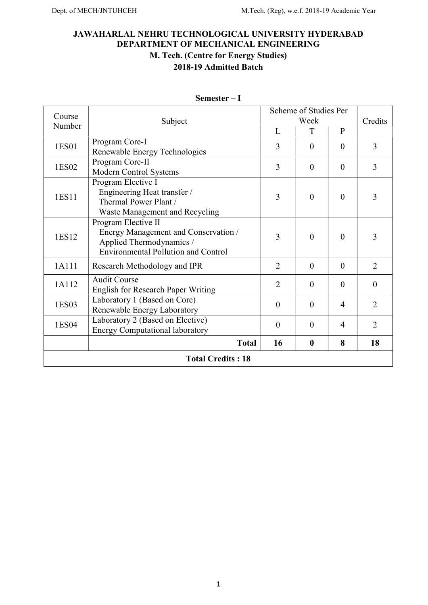# JAWAHARLAL NEHRU TECHNOLOGICAL UNIVERSITY HYDERABAD DEPARTMENT OF MECHANICAL ENGINEERING M. Tech. (Centre for Energy Studies) 2018-19 Admitted Batch

| Course                   | Subject                                                                                                                               | Scheme of Studies Per | Credits        |              |                |
|--------------------------|---------------------------------------------------------------------------------------------------------------------------------------|-----------------------|----------------|--------------|----------------|
| Number                   |                                                                                                                                       | L                     | Week<br>T      | $\mathbf{P}$ |                |
| 1ES01                    | Program Core-I<br>Renewable Energy Technologies                                                                                       | 3                     | $\theta$       | $\theta$     | 3              |
| 1ES02                    | Program Core-II<br>Modern Control Systems                                                                                             | 3                     | $\mathbf{0}$   | $\theta$     | $\overline{3}$ |
| 1ES11                    | Program Elective I<br>Engineering Heat transfer /<br>Thermal Power Plant /<br>Waste Management and Recycling                          | 3                     | $\theta$       | $\theta$     | 3              |
| 1ES12                    | Program Elective II<br>Energy Management and Conservation /<br>Applied Thermodynamics /<br><b>Environmental Pollution and Control</b> | 3                     | $\overline{0}$ | $\theta$     | 3              |
| 1A111                    | Research Methodology and IPR                                                                                                          | $\overline{2}$        | $\theta$       | $\Omega$     | $\overline{2}$ |
| 1A112                    | <b>Audit Course</b><br><b>English for Research Paper Writing</b>                                                                      | $\overline{2}$        | $\theta$       | $\theta$     | $\theta$       |
| 1ES03                    | Laboratory 1 (Based on Core)<br>Renewable Energy Laboratory                                                                           | $\overline{0}$        | $\overline{0}$ | 4            | $\overline{2}$ |
| 1ES04                    | Laboratory 2 (Based on Elective)<br><b>Energy Computational laboratory</b>                                                            | $\overline{0}$        | $\theta$       | 4            | $\overline{2}$ |
|                          | <b>Total</b>                                                                                                                          | 16                    | $\bf{0}$       | 8            | 18             |
| <b>Total Credits: 18</b> |                                                                                                                                       |                       |                |              |                |

Semester – I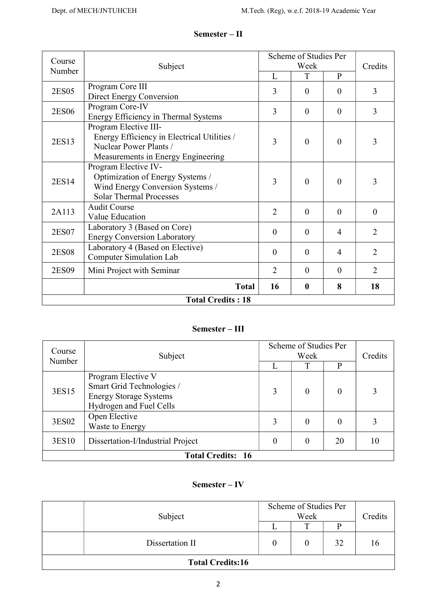| Course                   |                                             | Scheme of Studies Per |                            |                |                |          |  |
|--------------------------|---------------------------------------------|-----------------------|----------------------------|----------------|----------------|----------|--|
| Number                   | Subject                                     |                       | Credits                    |                |                |          |  |
|                          |                                             | L                     | T                          | $\mathbf{P}$   |                |          |  |
| 2ES05                    | Program Core III                            | 3                     | $\theta$                   | $\theta$       | 3              |          |  |
|                          | Direct Energy Conversion                    |                       |                            |                |                |          |  |
| 2ES06                    | Program Core-IV                             | 3                     | $\theta$                   | $\theta$       | 3              |          |  |
|                          | Energy Efficiency in Thermal Systems        |                       |                            |                |                |          |  |
|                          | Program Elective III-                       |                       |                            | $\theta$       |                |          |  |
| 2ES13                    | Energy Efficiency in Electrical Utilities / | 3                     | $\Omega$                   |                | 3              |          |  |
|                          | Nuclear Power Plants /                      |                       |                            |                |                |          |  |
|                          | Measurements in Energy Engineering          |                       |                            |                |                |          |  |
|                          | Program Elective IV-                        | 3                     | $\theta$                   | $\theta$       |                |          |  |
| 2ES14                    | Optimization of Energy Systems /            |                       |                            |                | 3              |          |  |
|                          | Wind Energy Conversion Systems /            |                       |                            |                |                |          |  |
|                          | <b>Solar Thermal Processes</b>              |                       |                            |                |                |          |  |
|                          | <b>Audit Course</b>                         |                       | $\overline{2}$<br>$\theta$ |                | $\theta$       | $\theta$ |  |
| 2A113                    | Value Education                             |                       |                            |                |                |          |  |
| 2ES07                    | Laboratory 3 (Based on Core)                | $\theta$              | $\theta$                   | $\overline{4}$ | $\overline{2}$ |          |  |
|                          | <b>Energy Conversion Laboratory</b>         |                       |                            |                |                |          |  |
|                          | Laboratory 4 (Based on Elective)            | $\theta$              | $\theta$                   | $\overline{4}$ | $\overline{2}$ |          |  |
| <b>2ES08</b>             | Computer Simulation Lab                     |                       |                            |                |                |          |  |
| 2ES09                    | Mini Project with Seminar                   | $\overline{2}$        | $\theta$                   | $\theta$       | $\overline{2}$ |          |  |
|                          | <b>Total</b>                                | 16                    | $\mathbf{0}$               | 8              | 18             |          |  |
| <b>Total Credits: 18</b> |                                             |                       |                            |                |                |          |  |
|                          |                                             |                       |                            |                |                |          |  |

# Semester – II

# Semester – III

| Course                   | Subject                                                                                                     | Scheme of Studies Per | Credits  |          |    |  |
|--------------------------|-------------------------------------------------------------------------------------------------------------|-----------------------|----------|----------|----|--|
| Number                   |                                                                                                             |                       | T        | D        |    |  |
| 3ES15                    | Program Elective V<br>Smart Grid Technologies /<br><b>Energy Storage Systems</b><br>Hydrogen and Fuel Cells | 3                     | 0        | 0        | 3  |  |
| 3ES02                    | Open Elective<br>Waste to Energy                                                                            | 3                     | $\theta$ | $\Omega$ |    |  |
| 3ES10                    | Dissertation-I/Industrial Project                                                                           | 0                     | $\theta$ | 20       | 10 |  |
| <b>Total Credits: 16</b> |                                                                                                             |                       |          |          |    |  |

# Semester – IV

|                         | Subject         | Scheme of Studies Per | Credits |    |    |  |
|-------------------------|-----------------|-----------------------|---------|----|----|--|
|                         |                 |                       | T       |    |    |  |
|                         | Dissertation II |                       |         | 32 | 16 |  |
| <b>Total Credits:16</b> |                 |                       |         |    |    |  |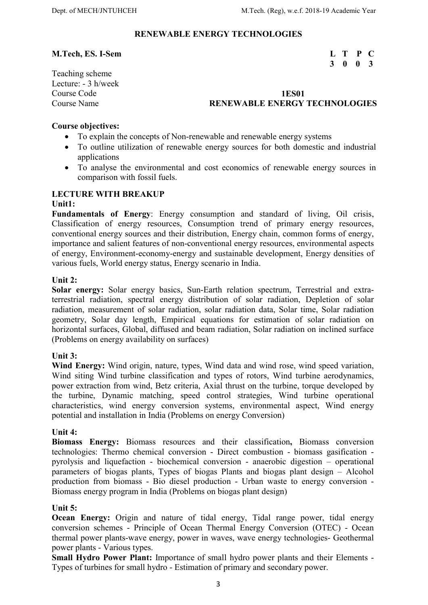#### RENEWABLE ENERGY TECHNOLOGIES

# M.Tech, ES. I-Sem L T P C

# Teaching scheme Lecture: - 3 h/week

# 3 0 0 3

# Course Code 1ES01 Course Name **RENEWABLE ENERGY TECHNOLOGIES**

#### Course objectives:

- To explain the concepts of Non-renewable and renewable energy systems
- To outline utilization of renewable energy sources for both domestic and industrial applications
- To analyse the environmental and cost economics of renewable energy sources in comparison with fossil fuels.

#### LECTURE WITH BREAKUP

#### Unit1:

Fundamentals of Energy: Energy consumption and standard of living, Oil crisis, Classification of energy resources, Consumption trend of primary energy resources, conventional energy sources and their distribution, Energy chain, common forms of energy, importance and salient features of non-conventional energy resources, environmental aspects of energy, Environment-economy-energy and sustainable development, Energy densities of various fuels, World energy status, Energy scenario in India.

#### Unit 2:

Solar energy: Solar energy basics, Sun-Earth relation spectrum, Terrestrial and extraterrestrial radiation, spectral energy distribution of solar radiation, Depletion of solar radiation, measurement of solar radiation, solar radiation data, Solar time, Solar radiation geometry, Solar day length, Empirical equations for estimation of solar radiation on horizontal surfaces, Global, diffused and beam radiation, Solar radiation on inclined surface (Problems on energy availability on surfaces)

#### Unit 3:

Wind Energy: Wind origin, nature, types, Wind data and wind rose, wind speed variation, Wind siting Wind turbine classification and types of rotors, Wind turbine aerodynamics, power extraction from wind, Betz criteria, Axial thrust on the turbine, torque developed by the turbine, Dynamic matching, speed control strategies, Wind turbine operational characteristics, wind energy conversion systems, environmental aspect, Wind energy potential and installation in India (Problems on energy Conversion)

#### Unit 4:

Biomass Energy: Biomass resources and their classification, Biomass conversion technologies: Thermo chemical conversion - Direct combustion - biomass gasification pyrolysis and liquefaction - biochemical conversion - anaerobic digestion – operational parameters of biogas plants, Types of biogas Plants and biogas plant design – Alcohol production from biomass - Bio diesel production - Urban waste to energy conversion - Biomass energy program in India (Problems on biogas plant design)

#### Unit 5:

Ocean Energy: Origin and nature of tidal energy, Tidal range power, tidal energy conversion schemes - Principle of Ocean Thermal Energy Conversion (OTEC) - Ocean thermal power plants-wave energy, power in waves, wave energy technologies- Geothermal power plants - Various types.

Small Hydro Power Plant: Importance of small hydro power plants and their Elements - Types of turbines for small hydro - Estimation of primary and secondary power.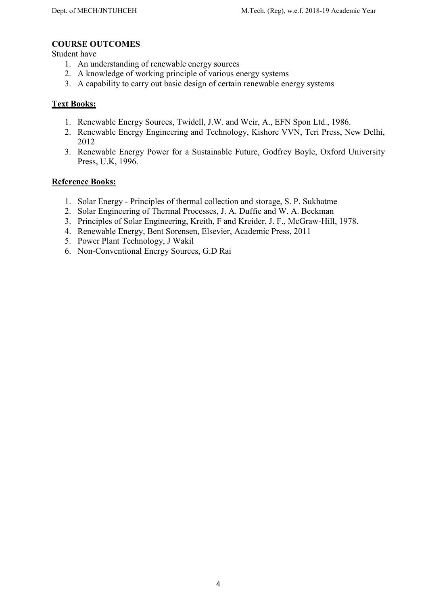# COURSE OUTCOMES

Student have

- 1. An understanding of renewable energy sources
- 2. A knowledge of working principle of various energy systems
- 3. A capability to carry out basic design of certain renewable energy systems

# Text Books:

- 1. Renewable Energy Sources, Twidell, J.W. and Weir, A., EFN Spon Ltd., 1986.
- 2. Renewable Energy Engineering and Technology, Kishore VVN, Teri Press, New Delhi, 2012
- 3. Renewable Energy Power for a Sustainable Future, Godfrey Boyle, Oxford University Press, U.K, 1996.

- 1. Solar Energy Principles of thermal collection and storage, S. P. Sukhatme
- 2. Solar Engineering of Thermal Processes, J. A. Duffie and W. A. Beckman
- 3. Principles of Solar Engineering, Kreith, F and Kreider, J. F., McGraw-Hill, 1978.
- 4. Renewable Energy, Bent Sorensen, Elsevier, Academic Press, 2011
- 5. Power Plant Technology, J Wakil
- 6. Non-Conventional Energy Sources, G.D Rai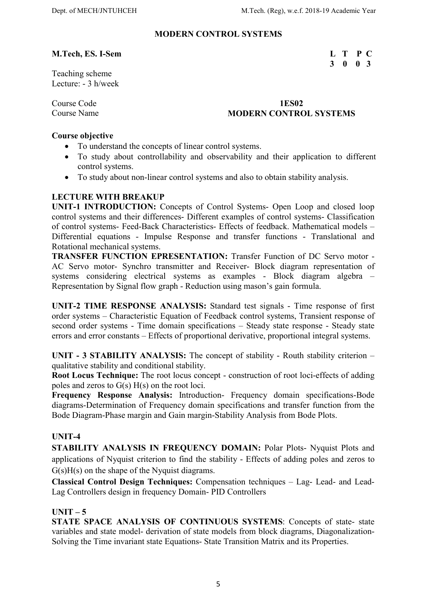3 0 0 3

# MODERN CONTROL SYSTEMS

#### M.Tech, ES. I-Sem L T P C

Teaching scheme Lecture: - 3 h/week

#### Course Code 1ES02 **Course Name Course Name Course Name Course Name Course Name Course Name Course Name Course Name Course Name Course Name Course Name Course Name Course Name Course Name Course Name Course Name Course Name Course Name Cours**

### Course objective

- To understand the concepts of linear control systems.
- To study about controllability and observability and their application to different control systems.
- To study about non-linear control systems and also to obtain stability analysis.

# LECTURE WITH BREAKUP

UNIT-1 INTRODUCTION: Concepts of Control Systems- Open Loop and closed loop control systems and their differences- Different examples of control systems- Classification of control systems- Feed-Back Characteristics- Effects of feedback. Mathematical models – Differential equations - Impulse Response and transfer functions - Translational and Rotational mechanical systems.

TRANSFER FUNCTION EPRESENTATION: Transfer Function of DC Servo motor - AC Servo motor- Synchro transmitter and Receiver- Block diagram representation of systems considering electrical systems as examples - Block diagram algebra – Representation by Signal flow graph - Reduction using mason's gain formula.

UNIT-2 TIME RESPONSE ANALYSIS: Standard test signals - Time response of first order systems – Characteristic Equation of Feedback control systems, Transient response of second order systems - Time domain specifications – Steady state response - Steady state errors and error constants – Effects of proportional derivative, proportional integral systems.

UNIT - 3 STABILITY ANALYSIS: The concept of stability - Routh stability criterion – qualitative stability and conditional stability.

Root Locus Technique: The root locus concept - construction of root loci-effects of adding poles and zeros to  $G(s) H(s)$  on the root loci.

Frequency Response Analysis: Introduction- Frequency domain specifications-Bode diagrams-Determination of Frequency domain specifications and transfer function from the Bode Diagram-Phase margin and Gain margin-Stability Analysis from Bode Plots.

# UNIT-4

STABILITY ANALYSIS IN FREQUENCY DOMAIN: Polar Plots- Nyquist Plots and applications of Nyquist criterion to find the stability - Effects of adding poles and zeros to G(s)H(s) on the shape of the Nyquist diagrams.

Classical Control Design Techniques: Compensation techniques – Lag- Lead- and Lead-Lag Controllers design in frequency Domain- PID Controllers

# $UNIT - 5$

STATE SPACE ANALYSIS OF CONTINUOUS SYSTEMS: Concepts of state- state variables and state model- derivation of state models from block diagrams, Diagonalization-Solving the Time invariant state Equations- State Transition Matrix and its Properties.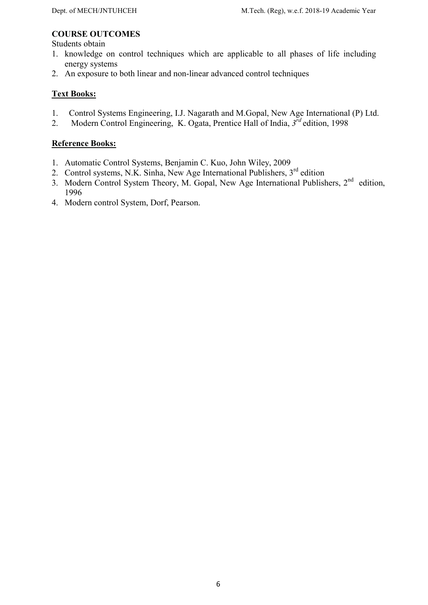# COURSE OUTCOMES

Students obtain

- 1. knowledge on control techniques which are applicable to all phases of life including energy systems
- 2. An exposure to both linear and non-linear advanced control techniques

# Text Books:

- 1. Control Systems Engineering, I.J. Nagarath and M.Gopal, New Age International (P) Ltd.
- 2. Modern Control Engineering, K. Ogata, Prentice Hall of India,  $3^{\overline{r}d}$  edition, 1998

- 1. Automatic Control Systems, Benjamin C. Kuo, John Wiley, 2009
- 2. Control systems, N.K. Sinha, New Age International Publishers, 3<sup>rd</sup> edition
- 3. Modern Control System Theory, M. Gopal, New Age International Publishers, 2<sup>nd</sup> edition, 1996
- 4. Modern control System, Dorf, Pearson.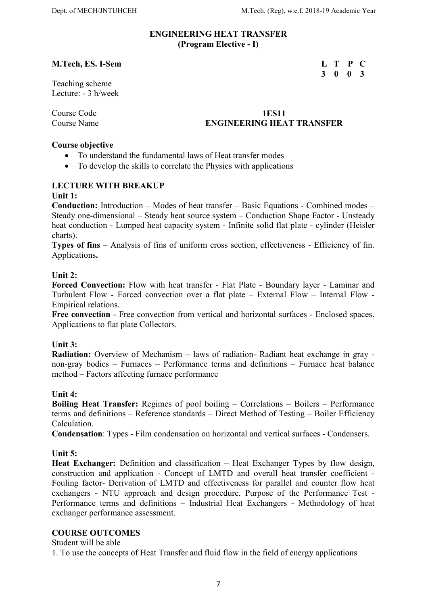#### ENGINEERING HEAT TRANSFER (Program Elective - I)

#### M.Tech, ES. I-Sem L T P C

Teaching scheme Lecture: - 3 h/week

### Course Code 1ES11 Course Name ENGINEERING HEAT TRANSFER

#### Course objective

- To understand the fundamental laws of Heat transfer modes
- To develop the skills to correlate the Physics with applications

# LECTURE WITH BREAKUP

#### Unit 1:

Conduction: Introduction – Modes of heat transfer – Basic Equations - Combined modes – Steady one-dimensional – Steady heat source system – Conduction Shape Factor - Unsteady heat conduction - Lumped heat capacity system - Infinite solid flat plate - cylinder (Heisler charts).

Types of fins – Analysis of fins of uniform cross section, effectiveness - Efficiency of fin. Applications.

#### Unit 2:

Forced Convection: Flow with heat transfer - Flat Plate - Boundary layer - Laminar and Turbulent Flow - Forced convection over a flat plate – External Flow – Internal Flow - Empirical relations.

Free convection - Free convection from vertical and horizontal surfaces - Enclosed spaces. Applications to flat plate Collectors.

#### Unit 3:

Radiation: Overview of Mechanism – laws of radiation- Radiant heat exchange in gray non-gray bodies – Furnaces – Performance terms and definitions – Furnace heat balance method – Factors affecting furnace performance

#### Unit 4:

Boiling Heat Transfer: Regimes of pool boiling – Correlations – Boilers – Performance terms and definitions – Reference standards – Direct Method of Testing – Boiler Efficiency Calculation.

Condensation: Types - Film condensation on horizontal and vertical surfaces - Condensers.

#### Unit 5:

Heat Exchanger: Definition and classification – Heat Exchanger Types by flow design, construction and application - Concept of LMTD and overall heat transfer coefficient - Fouling factor- Derivation of LMTD and effectiveness for parallel and counter flow heat exchangers - NTU approach and design procedure. Purpose of the Performance Test - Performance terms and definitions – Industrial Heat Exchangers - Methodology of heat exchanger performance assessment.

#### COURSE OUTCOMES

Student will be able

1. To use the concepts of Heat Transfer and fluid flow in the field of energy applications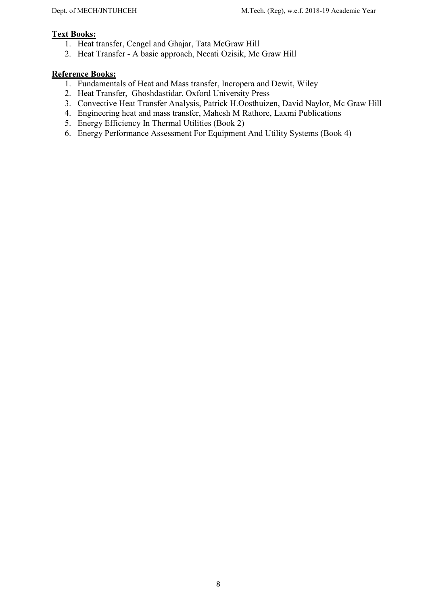# Text Books:

- 1. Heat transfer, Cengel and Ghajar, Tata McGraw Hill
- 2. Heat Transfer A basic approach, Necati Ozisik, Mc Graw Hill

- 1. Fundamentals of Heat and Mass transfer, Incropera and Dewit, Wiley
- 2. Heat Transfer, Ghoshdastidar, Oxford University Press
- 3. Convective Heat Transfer Analysis, Patrick H.Oosthuizen, David Naylor, Mc Graw Hill
- 4. Engineering heat and mass transfer, Mahesh M Rathore, Laxmi Publications
- 5. Energy Efficiency In Thermal Utilities (Book 2)
- 6. Energy Performance Assessment For Equipment And Utility Systems (Book 4)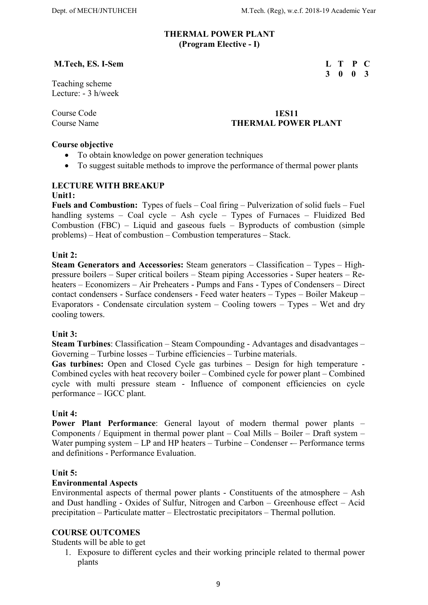#### THERMAL POWER PLANT (Program Elective - I)

#### M.Tech, ES. I-Sem L T P C

Teaching scheme Lecture: - 3 h/week

#### Course Code 1ES11 Course Name THERMAL POWER PLANT

#### Course objective

- To obtain knowledge on power generation techniques
- To suggest suitable methods to improve the performance of thermal power plants

#### LECTURE WITH BREAKUP Unit1:

Fuels and Combustion: Types of fuels – Coal firing – Pulverization of solid fuels – Fuel handling systems – Coal cycle – Ash cycle – Types of Furnaces – Fluidized Bed Combustion (FBC) – Liquid and gaseous fuels – Byproducts of combustion (simple problems) – Heat of combustion – Combustion temperatures – Stack.

#### Unit 2:

Steam Generators and Accessories: Steam generators – Classification – Types – Highpressure boilers – Super critical boilers – Steam piping Accessories - Super heaters – Reheaters – Economizers – Air Preheaters - Pumps and Fans - Types of Condensers – Direct contact condensers - Surface condensers - Feed water heaters – Types – Boiler Makeup – Evaporators - Condensate circulation system – Cooling towers – Types – Wet and dry cooling towers.

#### Unit 3:

Steam Turbines: Classification – Steam Compounding - Advantages and disadvantages – Governing – Turbine losses – Turbine efficiencies – Turbine materials.

Gas turbines: Open and Closed Cycle gas turbines – Design for high temperature -Combined cycles with heat recovery boiler – Combined cycle for power plant – Combined cycle with multi pressure steam - Influence of component efficiencies on cycle performance – IGCC plant.

#### Unit 4:

Power Plant Performance: General layout of modern thermal power plants – Components / Equipment in thermal power plant – Coal Mills – Boiler – Draft system – Water pumping system – LP and HP heaters – Turbine – Condenser –– Performance terms and definitions - Performance Evaluation.

#### Unit 5:

#### Environmental Aspects

Environmental aspects of thermal power plants - Constituents of the atmosphere – Ash and Dust handling - Oxides of Sulfur, Nitrogen and Carbon – Greenhouse effect – Acid precipitation – Particulate matter – Electrostatic precipitators – Thermal pollution.

#### COURSE OUTCOMES

Students will be able to get

1. Exposure to different cycles and their working principle related to thermal power plants

9

3 0 0 3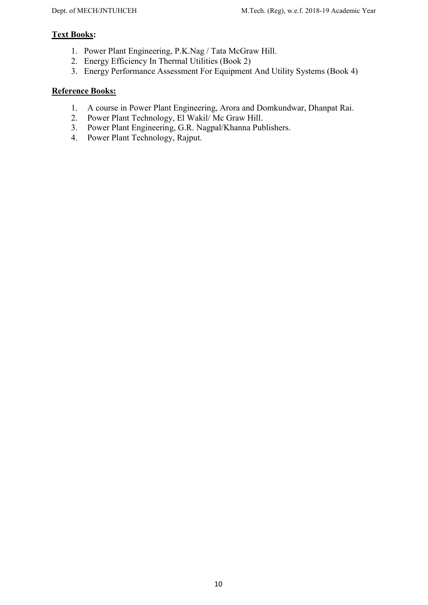# Text Books:

- 1. Power Plant Engineering, P.K.Nag / Tata McGraw Hill.
- 2. Energy Efficiency In Thermal Utilities (Book 2)
- 3. Energy Performance Assessment For Equipment And Utility Systems (Book 4)

- 1. A course in Power Plant Engineering, Arora and Domkundwar, Dhanpat Rai.
- 2. Power Plant Technology, El Wakil/ Mc Graw Hill.
- 3. Power Plant Engineering, G.R. Nagpal/Khanna Publishers.
- 4. Power Plant Technology, Rajput.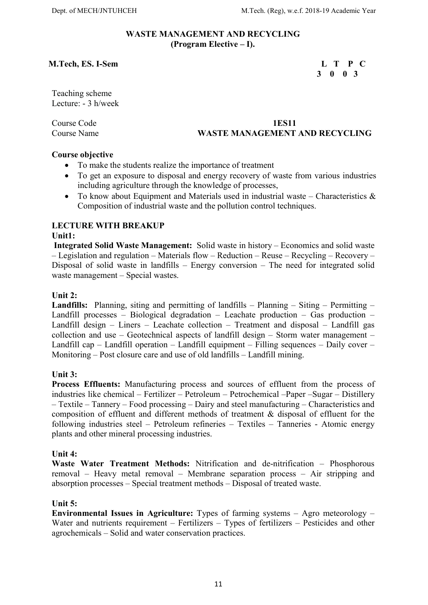#### WASTE MANAGEMENT AND RECYCLING (Program Elective – I).

# M.Tech, ES. I-Sem L T P C

# 3 0 0 3

Teaching scheme Lecture: - 3 h/week

# Course Code 1ES11 Course Name WASTE MANAGEMENT AND RECYCLING

### Course objective

- To make the students realize the importance of treatment
- To get an exposure to disposal and energy recovery of waste from various industries including agriculture through the knowledge of processes,
- To know about Equipment and Materials used in industrial waste Characteristics & Composition of industrial waste and the pollution control techniques.

# LECTURE WITH BREAKUP

#### Unit1:

 Integrated Solid Waste Management: Solid waste in history – Economics and solid waste – Legislation and regulation – Materials flow – Reduction – Reuse – Recycling – Recovery – Disposal of solid waste in landfills – Energy conversion – The need for integrated solid waste management – Special wastes.

#### Unit 2:

Landfills: Planning, siting and permitting of landfills – Planning – Siting – Permitting – Landfill processes – Biological degradation – Leachate production – Gas production – Landfill design – Liners – Leachate collection – Treatment and disposal – Landfill gas collection and use – Geotechnical aspects of landfill design – Storm water management – Landfill cap – Landfill operation – Landfill equipment – Filling sequences – Daily cover – Monitoring – Post closure care and use of old landfills – Landfill mining.

#### Unit 3:

Process Effluents: Manufacturing process and sources of effluent from the process of industries like chemical – Fertilizer – Petroleum – Petrochemical –Paper –Sugar – Distillery – Textile – Tannery – Food processing – Dairy and steel manufacturing – Characteristics and composition of effluent and different methods of treatment & disposal of effluent for the following industries steel – Petroleum refineries – Textiles – Tanneries - Atomic energy plants and other mineral processing industries.

#### Unit 4:

Waste Water Treatment Methods: Nitrification and de-nitrification – Phosphorous removal – Heavy metal removal – Membrane separation process – Air stripping and absorption processes – Special treatment methods – Disposal of treated waste.

#### Unit 5:

Environmental Issues in Agriculture: Types of farming systems – Agro meteorology – Water and nutrients requirement – Fertilizers – Types of fertilizers – Pesticides and other agrochemicals – Solid and water conservation practices.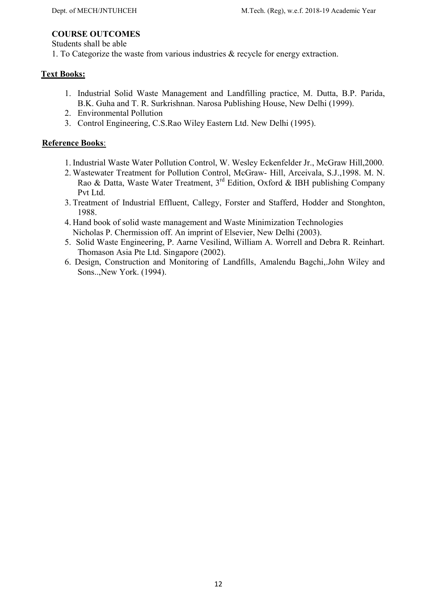# COURSE OUTCOMES

Students shall be able

1. To Categorize the waste from various industries & recycle for energy extraction.

# Text Books:

- 1. Industrial Solid Waste Management and Landfilling practice, M. Dutta, B.P. Parida, B.K. Guha and T. R. Surkrishnan. Narosa Publishing House, New Delhi (1999).
- 2. Environmental Pollution
- 3. Control Engineering, C.S.Rao Wiley Eastern Ltd. New Delhi (1995).

- 1. Industrial Waste Water Pollution Control, W. Wesley Eckenfelder Jr., McGraw Hill,2000.
- 2. Wastewater Treatment for Pollution Control, McGraw- Hill, Arceivala, S.J.,1998. M. N. Rao & Datta, Waste Water Treatment,  $3^{rd}$  Edition, Oxford & IBH publishing Company Pvt Ltd.
- 3. Treatment of Industrial Effluent, Callegy, Forster and Stafferd, Hodder and Stonghton, 1988.
- 4. Hand book of solid waste management and Waste Minimization Technologies Nicholas P. Chermission off. An imprint of Elsevier, New Delhi (2003).
- 5. Solid Waste Engineering, P. Aarne Vesilind, William A. Worrell and Debra R. Reinhart. Thomason Asia Pte Ltd. Singapore (2002).
- 6. Design, Construction and Monitoring of Landfills, Amalendu Bagchi,.John Wiley and Sons..,New York. (1994).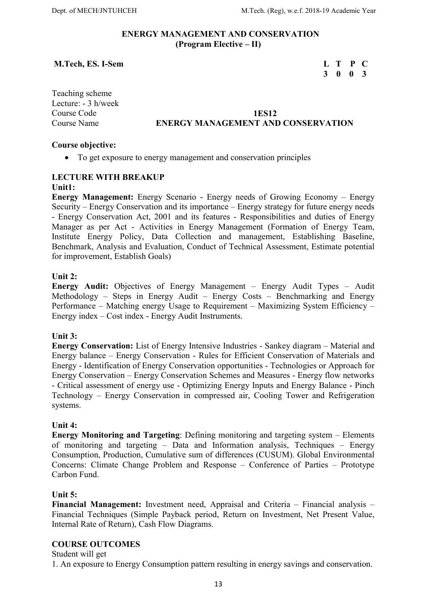#### ENERGY MANAGEMENT AND CONSERVATION (Program Elective – II)

#### M.Tech, ES. I-Sem L T P C

# 3 0 0 3

Teaching scheme Lecture: - 3 h/week

# Course Code 1ES12 Course Name ENERGY MANAGEMENT AND CONSERVATION

#### Course objective:

To get exposure to energy management and conservation principles

### LECTURE WITH BREAKUP

#### Unit1:

Energy Management: Energy Scenario - Energy needs of Growing Economy – Energy Security – Energy Conservation and its importance – Energy strategy for future energy needs - Energy Conservation Act, 2001 and its features - Responsibilities and duties of Energy Manager as per Act - Activities in Energy Management (Formation of Energy Team, Institute Energy Policy, Data Collection and management, Establishing Baseline, Benchmark, Analysis and Evaluation, Conduct of Technical Assessment, Estimate potential for improvement, Establish Goals)

#### Unit 2:

Energy Audit: Objectives of Energy Management – Energy Audit Types – Audit Methodology – Steps in Energy Audit – Energy Costs – Benchmarking and Energy Performance – Matching energy Usage to Requirement – Maximizing System Efficiency – Energy index – Cost index - Energy Audit Instruments.

#### Unit 3:

Energy Conservation: List of Energy Intensive Industries - Sankey diagram – Material and Energy balance – Energy Conservation - Rules for Efficient Conservation of Materials and Energy - Identification of Energy Conservation opportunities - Technologies or Approach for Energy Conservation – Energy Conservation Schemes and Measures - Energy flow networks - Critical assessment of energy use - Optimizing Energy Inputs and Energy Balance - Pinch Technology – Energy Conservation in compressed air, Cooling Tower and Refrigeration systems.

#### Unit 4:

Energy Monitoring and Targeting: Defining monitoring and targeting system – Elements of monitoring and targeting – Data and Information analysis, Techniques – Energy Consumption, Production, Cumulative sum of differences (CUSUM). Global Environmental Concerns: Climate Change Problem and Response – Conference of Parties – Prototype Carbon Fund.

#### Unit 5:

Financial Management: Investment need, Appraisal and Criteria – Financial analysis – Financial Techniques (Simple Payback period, Return on Investment, Net Present Value, Internal Rate of Return), Cash Flow Diagrams.

#### COURSE OUTCOMES

### Student will get

1. An exposure to Energy Consumption pattern resulting in energy savings and conservation.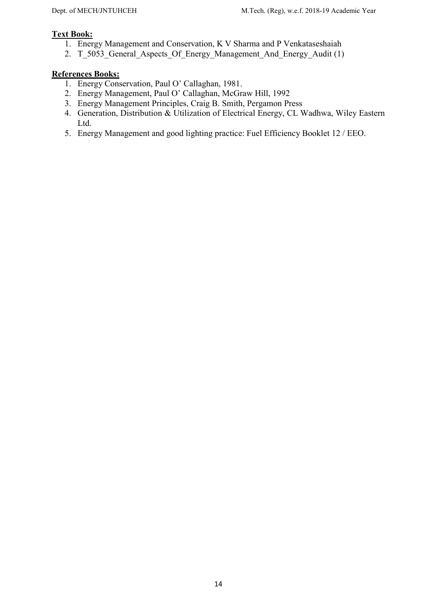# Text Book:

- 1. Energy Management and Conservation, K V Sharma and P Venkataseshaiah
- 2. T\_5053\_General\_Aspects\_Of\_Energy\_Management\_And\_Energy\_Audit (1)

- 1. Energy Conservation, Paul O' Callaghan, 1981.
- 2. Energy Management, Paul O' Callaghan, McGraw Hill, 1992
- 3. Energy Management Principles, Craig B. Smith, Pergamon Press
- 4. Generation, Distribution & Utilization of Electrical Energy, CL Wadhwa, Wiley Eastern Ltd.
- 5. Energy Management and good lighting practice: Fuel Efficiency Booklet 12 / EEO.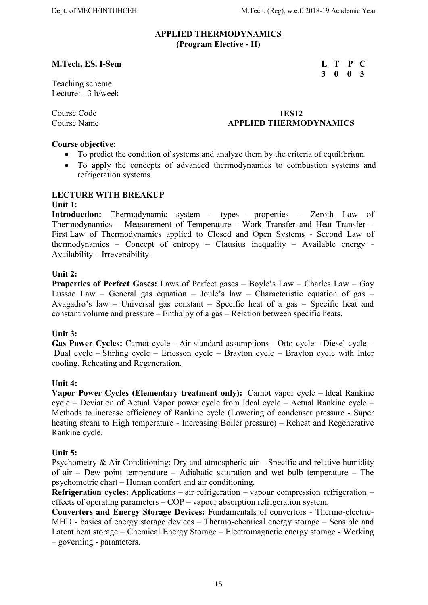3 0 0 3

#### APPLIED THERMODYNAMICS (Program Elective - II)

### M.Tech, ES. I-Sem L T P C

Teaching scheme Lecture: - 3 h/week

#### Course Code 1ES12 Course Name **APPLIED THERMODYNAMICS**

#### Course objective:

- To predict the condition of systems and analyze them by the criteria of equilibrium.
- To apply the concepts of advanced thermodynamics to combustion systems and refrigeration systems.

#### LECTURE WITH BREAKUP

#### Unit 1:

Introduction: Thermodynamic system - types – properties – Zeroth Law of Thermodynamics – Measurement of Temperature - Work Transfer and Heat Transfer – First Law of Thermodynamics applied to Closed and Open Systems - Second Law of thermodynamics – Concept of entropy – Clausius inequality – Available energy - Availability – Irreversibility.

#### Unit 2:

Properties of Perfect Gases: Laws of Perfect gases – Boyle's Law – Charles Law – Gay Lussac Law – General gas equation – Joule's law – Characteristic equation of gas – Avagadro's law – Universal gas constant – Specific heat of a gas – Specific heat and constant volume and pressure – Enthalpy of a gas – Relation between specific heats.

#### Unit 3:

Gas Power Cycles: Carnot cycle - Air standard assumptions - Otto cycle - Diesel cycle – Dual cycle – Stirling cycle – Ericsson cycle – Brayton cycle – Brayton cycle with Inter cooling, Reheating and Regeneration.

#### Unit 4:

Vapor Power Cycles (Elementary treatment only): Carnot vapor cycle – Ideal Rankine cycle – Deviation of Actual Vapor power cycle from Ideal cycle – Actual Rankine cycle – Methods to increase efficiency of Rankine cycle (Lowering of condenser pressure - Super heating steam to High temperature - Increasing Boiler pressure) – Reheat and Regenerative Rankine cycle.

#### Unit 5:

Psychometry  $\&$  Air Conditioning: Dry and atmospheric air – Specific and relative humidity of air – Dew point temperature – Adiabatic saturation and wet bulb temperature – The psychometric chart – Human comfort and air conditioning.

Refrigeration cycles: Applications – air refrigeration – vapour compression refrigeration – effects of operating parameters – COP – vapour absorption refrigeration system.

Converters and Energy Storage Devices: Fundamentals of convertors - Thermo-electric-MHD - basics of energy storage devices – Thermo-chemical energy storage – Sensible and Latent heat storage – Chemical Energy Storage – Electromagnetic energy storage - Working – governing - parameters.

15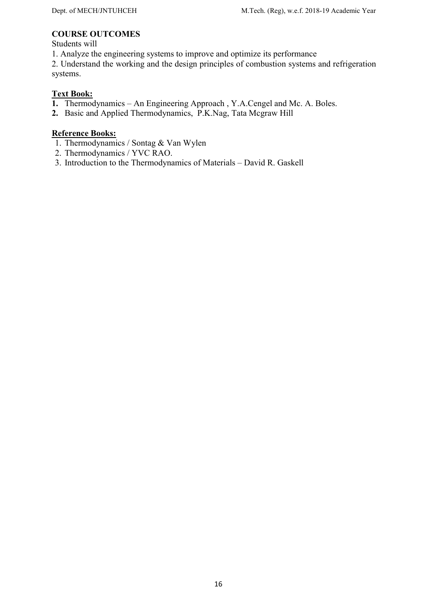# COURSE OUTCOMES

Students will

1. Analyze the engineering systems to improve and optimize its performance

2. Understand the working and the design principles of combustion systems and refrigeration systems.

# Text Book:

- 1. Thermodynamics An Engineering Approach , Y.A.Cengel and Mc. A. Boles.
- 2. Basic and Applied Thermodynamics, P.K.Nag, Tata Mcgraw Hill

- 1. Thermodynamics / Sontag & Van Wylen
- 2. Thermodynamics / YVC RAO.
- 3. Introduction to the Thermodynamics of Materials David R. Gaskell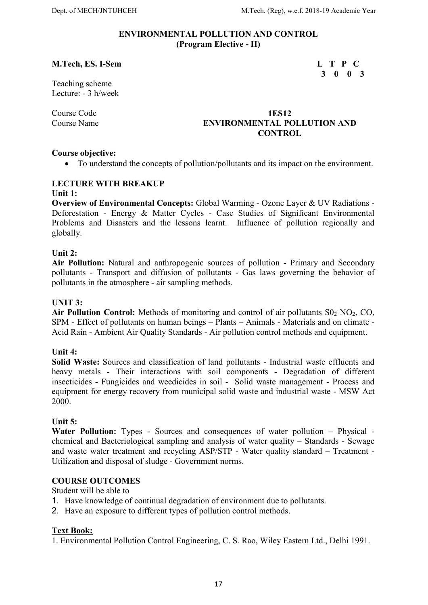#### ENVIRONMENTAL POLLUTION AND CONTROL (Program Elective - II)

#### M.Tech, ES. I-Sem L T P C

3 0 0 3

Teaching scheme Lecture: - 3 h/week

#### Course Code 1ES12 Course Name ENVIRONMENTAL POLLUTION AND CONTROL

#### Course objective:

To understand the concepts of pollution/pollutants and its impact on the environment.

#### LECTURE WITH BREAKUP Unit 1:

Overview of Environmental Concepts: Global Warming - Ozone Layer & UV Radiations - Deforestation - Energy & Matter Cycles - Case Studies of Significant Environmental Problems and Disasters and the lessons learnt. Influence of pollution regionally and globally.

#### Unit 2:

Air Pollution: Natural and anthropogenic sources of pollution - Primary and Secondary pollutants - Transport and diffusion of pollutants - Gas laws governing the behavior of pollutants in the atmosphere - air sampling methods.

#### UNIT 3:

Air Pollution Control: Methods of monitoring and control of air pollutants  $S_0$ ,  $NO_2$ ,  $CO$ , SPM - Effect of pollutants on human beings – Plants – Animals - Materials and on climate - Acid Rain - Ambient Air Quality Standards - Air pollution control methods and equipment.

#### Unit 4:

Solid Waste: Sources and classification of land pollutants - Industrial waste effluents and heavy metals - Their interactions with soil components - Degradation of different insecticides - Fungicides and weedicides in soil - Solid waste management - Process and equipment for energy recovery from municipal solid waste and industrial waste - MSW Act 2000.

#### Unit 5:

Water Pollution: Types - Sources and consequences of water pollution – Physical chemical and Bacteriological sampling and analysis of water quality – Standards - Sewage and waste water treatment and recycling ASP/STP - Water quality standard – Treatment - Utilization and disposal of sludge - Government norms.

#### COURSE OUTCOMES

Student will be able to

- 1. Have knowledge of continual degradation of environment due to pollutants.
- 2. Have an exposure to different types of pollution control methods.

#### Text Book:

1. Environmental Pollution Control Engineering, C. S. Rao, Wiley Eastern Ltd., Delhi 1991.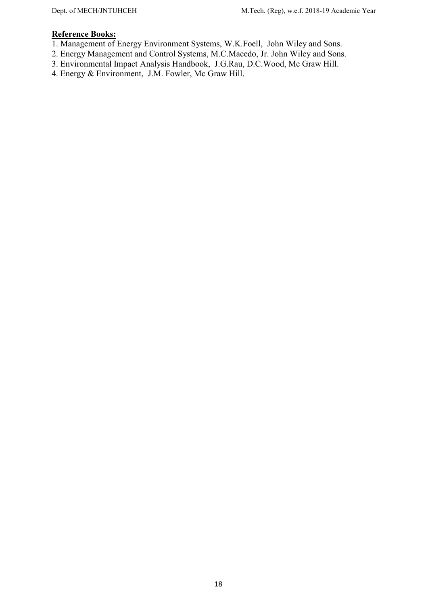- 1. Management of Energy Environment Systems, W.K.Foell, John Wiley and Sons.
- 2. Energy Management and Control Systems, M.C.Macedo, Jr. John Wiley and Sons.
- 3. Environmental Impact Analysis Handbook, J.G.Rau, D.C.Wood, Mc Graw Hill.
- 4. Energy & Environment, J.M. Fowler, Mc Graw Hill.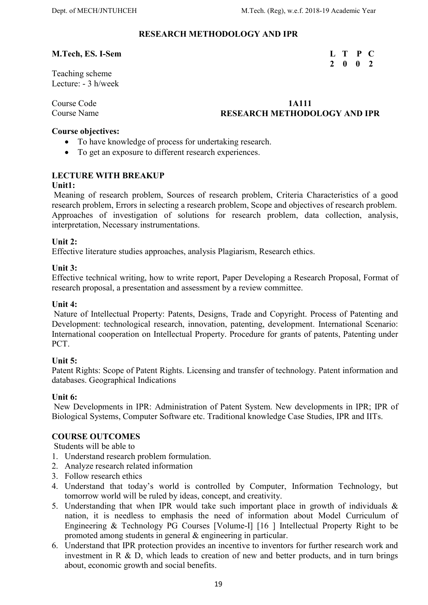2 0 0 2

#### RESEARCH METHODOLOGY AND IPR

### M.Tech, ES. I-Sem L T P C

Teaching scheme Lecture: - 3 h/week

#### Course Code 1A111 Course Name **RESEARCH METHODOLOGY AND IPR**

#### Course objectives:

- To have knowledge of process for undertaking research.
- To get an exposure to different research experiences.

# LECTURE WITH BREAKUP

#### Unit1:

Meaning of research problem, Sources of research problem, Criteria Characteristics of a good research problem, Errors in selecting a research problem, Scope and objectives of research problem. Approaches of investigation of solutions for research problem, data collection, analysis, interpretation, Necessary instrumentations.

### Unit 2:

Effective literature studies approaches, analysis Plagiarism, Research ethics.

### Unit 3:

Effective technical writing, how to write report, Paper Developing a Research Proposal, Format of research proposal, a presentation and assessment by a review committee.

#### Unit 4:

 Nature of Intellectual Property: Patents, Designs, Trade and Copyright. Process of Patenting and Development: technological research, innovation, patenting, development. International Scenario: International cooperation on Intellectual Property. Procedure for grants of patents, Patenting under PCT.

#### Unit 5:

Patent Rights: Scope of Patent Rights. Licensing and transfer of technology. Patent information and databases. Geographical Indications

#### Unit 6:

 New Developments in IPR: Administration of Patent System. New developments in IPR; IPR of Biological Systems, Computer Software etc. Traditional knowledge Case Studies, IPR and IITs.

# COURSE OUTCOMES

Students will be able to

- 1. Understand research problem formulation.
- 2. Analyze research related information
- 3. Follow research ethics
- 4. Understand that today's world is controlled by Computer, Information Technology, but tomorrow world will be ruled by ideas, concept, and creativity.
- 5. Understanding that when IPR would take such important place in growth of individuals & nation, it is needless to emphasis the need of information about Model Curriculum of Engineering & Technology PG Courses [Volume-I] [16 ] Intellectual Property Right to be promoted among students in general & engineering in particular.
- 6. Understand that IPR protection provides an incentive to inventors for further research work and investment in R & D, which leads to creation of new and better products, and in turn brings about, economic growth and social benefits.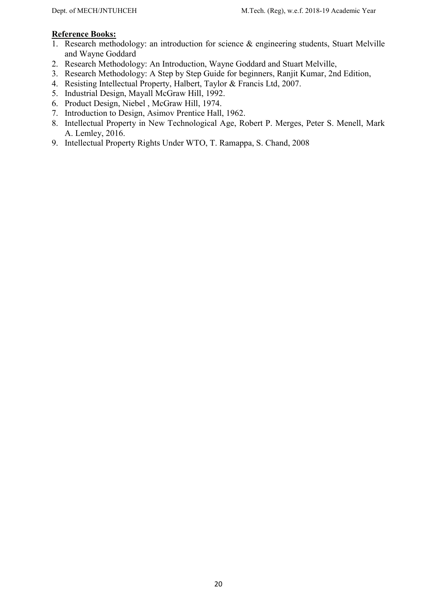- 1. Research methodology: an introduction for science & engineering students, Stuart Melville and Wayne Goddard
- 2. Research Methodology: An Introduction, Wayne Goddard and Stuart Melville,
- 3. Research Methodology: A Step by Step Guide for beginners, Ranjit Kumar, 2nd Edition,
- 4. Resisting Intellectual Property, Halbert, Taylor & Francis Ltd, 2007.
- 5. Industrial Design, Mayall McGraw Hill, 1992.
- 6. Product Design, Niebel , McGraw Hill, 1974.
- 7. Introduction to Design, Asimov Prentice Hall, 1962.
- 8. Intellectual Property in New Technological Age, Robert P. Merges, Peter S. Menell, Mark A. Lemley, 2016.
- 9. Intellectual Property Rights Under WTO, T. Ramappa, S. Chand, 2008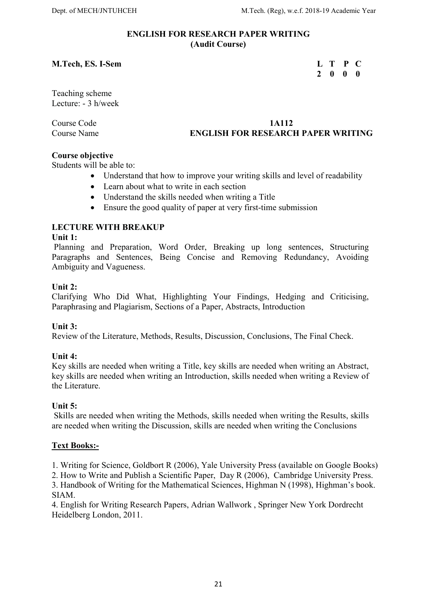#### ENGLISH FOR RESEARCH PAPER WRITING (Audit Course)

#### M.Tech, ES. I-Sem L T P C

# 2 0 0 0

Teaching scheme Lecture: - 3 h/week

# Course Code 1A112 Course Name ENGLISH FOR RESEARCH PAPER WRITING

# Course objective

Students will be able to:

- Understand that how to improve your writing skills and level of readability
- Learn about what to write in each section
- Understand the skills needed when writing a Title
- Ensure the good quality of paper at very first-time submission

# LECTURE WITH BREAKUP

#### Unit 1:

Planning and Preparation, Word Order, Breaking up long sentences, Structuring Paragraphs and Sentences, Being Concise and Removing Redundancy, Avoiding Ambiguity and Vagueness.

#### Unit 2:

Clarifying Who Did What, Highlighting Your Findings, Hedging and Criticising, Paraphrasing and Plagiarism, Sections of a Paper, Abstracts, Introduction

# Unit 3:

Review of the Literature, Methods, Results, Discussion, Conclusions, The Final Check.

#### Unit 4:

Key skills are needed when writing a Title, key skills are needed when writing an Abstract, key skills are needed when writing an Introduction, skills needed when writing a Review of the Literature.

#### Unit 5:

Skills are needed when writing the Methods, skills needed when writing the Results, skills are needed when writing the Discussion, skills are needed when writing the Conclusions

# Text Books:-

1. Writing for Science, Goldbort R (2006), Yale University Press (available on Google Books)

2. How to Write and Publish a Scientific Paper, Day R (2006), Cambridge University Press.

3. Handbook of Writing for the Mathematical Sciences, Highman N (1998), Highman's book. SIAM.

4. English for Writing Research Papers, Adrian Wallwork , Springer New York Dordrecht Heidelberg London, 2011.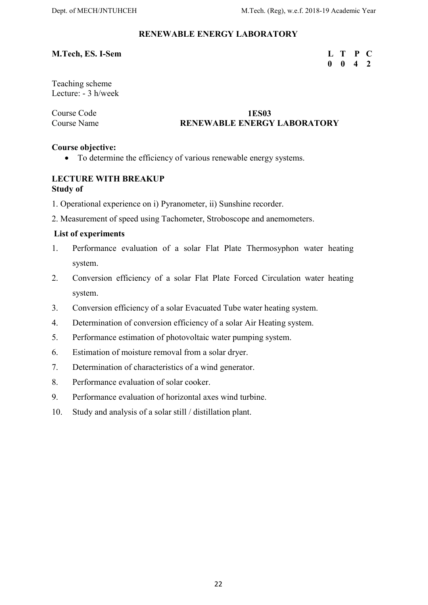# RENEWABLE ENERGY LABORATORY

### M.Tech, ES. I-Sem L T P C

# 0 0 4 2

Teaching scheme Lecture: - 3 h/week

#### Course Code 1ES03 Course Name **RENEWABLE ENERGY LABORATORY**

#### Course objective:

To determine the efficiency of various renewable energy systems.

### LECTURE WITH BREAKUP Study of

- 1. Operational experience on i) Pyranometer, ii) Sunshine recorder.
- 2. Measurement of speed using Tachometer, Stroboscope and anemometers.

#### List of experiments

- 1. Performance evaluation of a solar Flat Plate Thermosyphon water heating system.
- 2. Conversion efficiency of a solar Flat Plate Forced Circulation water heating system.
- 3. Conversion efficiency of a solar Evacuated Tube water heating system.
- 4. Determination of conversion efficiency of a solar Air Heating system.
- 5. Performance estimation of photovoltaic water pumping system.
- 6. Estimation of moisture removal from a solar dryer.
- 7. Determination of characteristics of a wind generator.
- 8. Performance evaluation of solar cooker.
- 9. Performance evaluation of horizontal axes wind turbine.
- 10. Study and analysis of a solar still / distillation plant.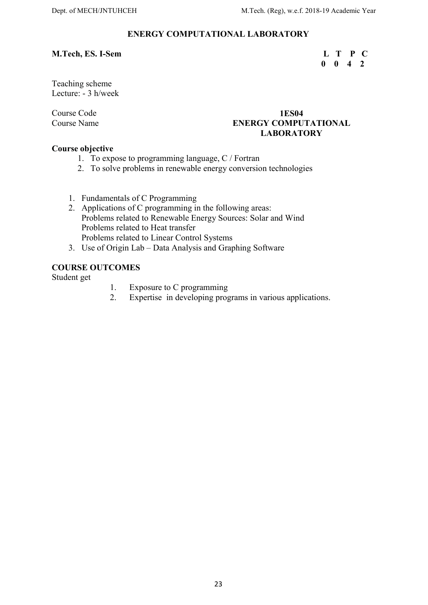### ENERGY COMPUTATIONAL LABORATORY

### M.Tech, ES. I-Sem L T P C

# $0 \t 0 \t 4 \t 2$

Teaching scheme Lecture: - 3 h/week

# Course Code 1ES04 Course Name ENERGY COMPUTATIONAL LABORATORY

### Course objective

- 1. To expose to programming language, C / Fortran
- 2. To solve problems in renewable energy conversion technologies
- 1. Fundamentals of C Programming
- 2. Applications of C programming in the following areas: Problems related to Renewable Energy Sources: Solar and Wind Problems related to Heat transfer Problems related to Linear Control Systems
- 3. Use of Origin Lab Data Analysis and Graphing Software

#### COURSE OUTCOMES

Student get

- 1. Exposure to C programming
- 2. Expertise in developing programs in various applications.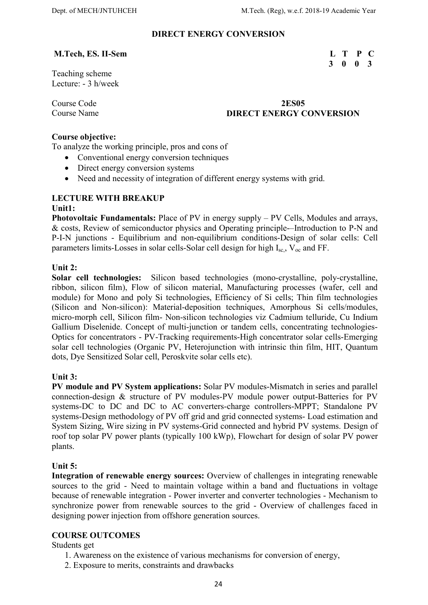### DIRECT ENERGY CONVERSION

### M.Tech, ES. II-Sem L T P C

3 0 0 3

Teaching scheme Lecture: - 3 h/week

### Course Code 2ES05 **Course Name Course Name Course Name Course Name Course Name Converse Conversion**

#### Course objective:

To analyze the working principle, pros and cons of

- Conventional energy conversion techniques
- Direct energy conversion systems
- Need and necessity of integration of different energy systems with grid.

#### LECTURE WITH BREAKUP

#### Unit1:

Photovoltaic Fundamentals: Place of PV in energy supply – PV Cells, Modules and arrays, & costs, Review of semiconductor physics and Operating principle-–Introduction to P-N and P-I-N junctions - Equilibrium and non-equilibrium conditions-Design of solar cells: Cell parameters limits-Losses in solar cells-Solar cell design for high  $I_{sc}$ ,  $V_{oc}$  and FF.

#### Unit 2:

Solar cell technologies: Silicon based technologies (mono-crystalline, poly-crystalline, ribbon, silicon film), Flow of silicon material, Manufacturing processes (wafer, cell and module) for Mono and poly Si technologies, Efficiency of Si cells; Thin film technologies (Silicon and Non-silicon): Material-deposition techniques, Amorphous Si cells/modules, micro-morph cell, Silicon film- Non-silicon technologies viz Cadmium telluride, Cu Indium Gallium Diselenide. Concept of multi-junction or tandem cells, concentrating technologies-Optics for concentrators - PV-Tracking requirements-High concentrator solar cells-Emerging solar cell technologies (Organic PV, Heterojunction with intrinsic thin film, HIT, Quantum dots, Dye Sensitized Solar cell, Peroskvite solar cells etc).

#### Unit 3:

PV module and PV System applications: Solar PV modules-Mismatch in series and parallel connection-design & structure of PV modules-PV module power output-Batteries for PV systems-DC to DC and DC to AC converters-charge controllers-MPPT; Standalone PV systems-Design methodology of PV off grid and grid connected systems- Load estimation and System Sizing, Wire sizing in PV systems-Grid connected and hybrid PV systems. Design of roof top solar PV power plants (typically 100 kWp), Flowchart for design of solar PV power plants.

#### Unit 5:

Integration of renewable energy sources: Overview of challenges in integrating renewable sources to the grid - Need to maintain voltage within a band and fluctuations in voltage because of renewable integration - Power inverter and converter technologies - Mechanism to synchronize power from renewable sources to the grid - Overview of challenges faced in designing power injection from offshore generation sources.

# COURSE OUTCOMES

Students get

- 1. Awareness on the existence of various mechanisms for conversion of energy,
- 2. Exposure to merits, constraints and drawbacks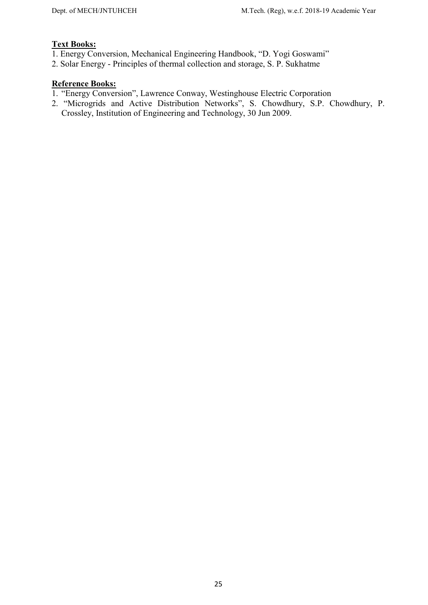# Text Books:

- 1. Energy Conversion, Mechanical Engineering Handbook, "D. Yogi Goswami"
- 2. Solar Energy Principles of thermal collection and storage, S. P. Sukhatme

- 1. "Energy Conversion", Lawrence Conway, Westinghouse Electric Corporation
- 2. "Microgrids and Active Distribution Networks", S. Chowdhury, S.P. Chowdhury, P. Crossley, Institution of Engineering and Technology, 30 Jun 2009.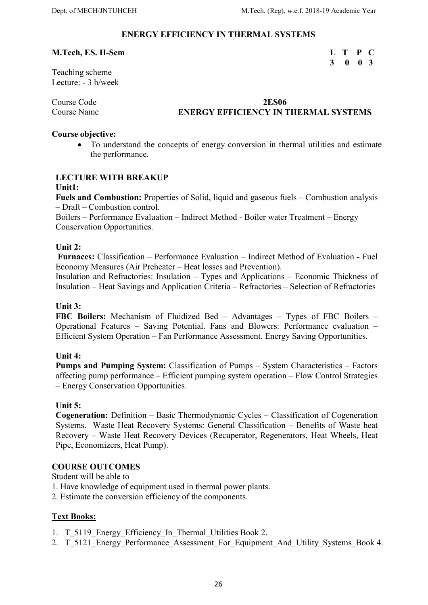3 0 0 3

# ENERGY EFFICIENCY IN THERMAL SYSTEMS

#### M.Tech, ES. II-Sem L T P C

Teaching scheme Lecture: - 3 h/week

Course Code 2ES06

# Course Name **ENERGY EFFICIENCY IN THERMAL SYSTEMS**

### Course objective:

 To understand the concepts of energy conversion in thermal utilities and estimate the performance.

# LECTURE WITH BREAKUP

#### Unit1:

Fuels and Combustion: Properties of Solid, liquid and gaseous fuels – Combustion analysis – Draft – Combustion control.

Boilers – Performance Evaluation – Indirect Method - Boiler water Treatment – Energy Conservation Opportunities.

### Unit 2:

 Furnaces: Classification – Performance Evaluation – Indirect Method of Evaluation - Fuel Economy Measures (Air Preheater – Heat losses and Prevention).

Insulation and Refractories: Insulation – Types and Applications – Economic Thickness of Insulation – Heat Savings and Application Criteria – Refractories – Selection of Refractories

#### Unit 3:

FBC Boilers: Mechanism of Fluidized Bed – Advantages – Types of FBC Boilers – Operational Features – Saving Potential. Fans and Blowers: Performance evaluation – Efficient System Operation – Fan Performance Assessment. Energy Saving Opportunities.

#### Unit 4:

Pumps and Pumping System: Classification of Pumps – System Characteristics – Factors affecting pump performance – Efficient pumping system operation – Flow Control Strategies – Energy Conservation Opportunities.

#### Unit 5:

Cogeneration: Definition – Basic Thermodynamic Cycles – Classification of Cogeneration Systems. Waste Heat Recovery Systems: General Classification – Benefits of Waste heat Recovery – Waste Heat Recovery Devices (Recuperator, Regenerators, Heat Wheels, Heat Pipe, Economizers, Heat Pump).

#### COURSE OUTCOMES

Student will be able to

- 1. Have knowledge of equipment used in thermal power plants.
- 2. Estimate the conversion efficiency of the components.

# Text Books:

- 1. T\_5119 Energy\_Efficiency\_In\_Thermal\_Utilities Book 2.
- 2. T\_5121\_Energy\_Performance\_Assessment\_For\_Equipment\_And\_Utility\_Systems\_Book 4.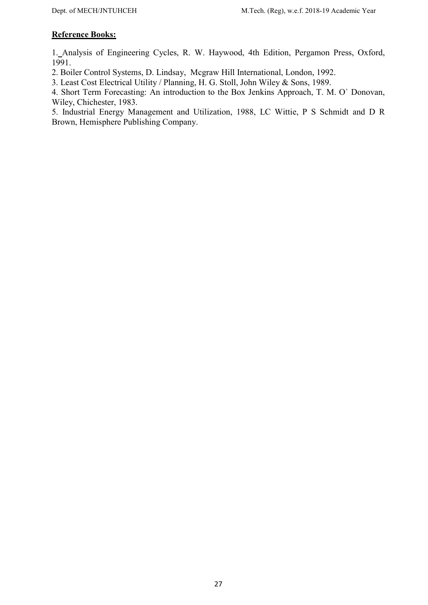# Reference Books:

1. Analysis of Engineering Cycles, R. W. Haywood, 4th Edition, Pergamon Press, Oxford, 1991.

2. Boiler Control Systems, D. Lindsay, Mcgraw Hill International, London, 1992.

3. Least Cost Electrical Utility / Planning, H. G. Stoll, John Wiley & Sons, 1989.

4. Short Term Forecasting: An introduction to the Box Jenkins Approach, T. M. O` Donovan, Wiley, Chichester, 1983.

5. Industrial Energy Management and Utilization, 1988, LC Wittie, P S Schmidt and D R Brown, Hemisphere Publishing Company.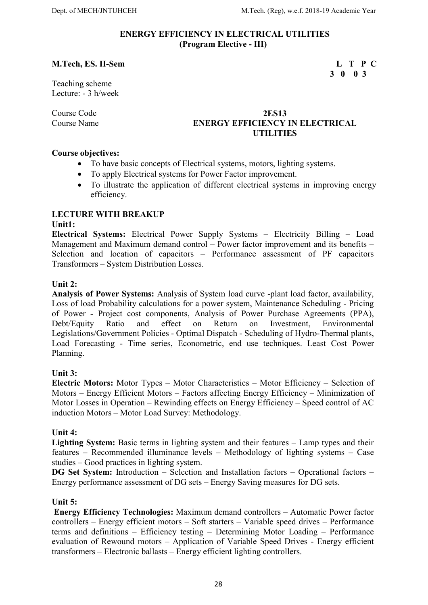#### ENERGY EFFICIENCY IN ELECTRICAL UTILITIES (Program Elective - III)

#### M.Tech, ES. II-Sem L T P C

3 0 0 3

Teaching scheme Lecture: - 3 h/week

### Course Code 2ES13 Course Name **ENERGY EFFICIENCY IN ELECTRICAL UTILITIES**

#### Course objectives:

- To have basic concepts of Electrical systems, motors, lighting systems.
- To apply Electrical systems for Power Factor improvement.
- To illustrate the application of different electrical systems in improving energy efficiency.

#### LECTURE WITH BREAKUP

#### Unit1:

Electrical Systems: Electrical Power Supply Systems – Electricity Billing – Load Management and Maximum demand control – Power factor improvement and its benefits – Selection and location of capacitors – Performance assessment of PF capacitors Transformers – System Distribution Losses.

#### Unit 2:

Analysis of Power Systems: Analysis of System load curve -plant load factor, availability, Loss of load Probability calculations for a power system, Maintenance Scheduling - Pricing of Power - Project cost components, Analysis of Power Purchase Agreements (PPA), Debt/Equity Ratio and effect on Return on Investment, Environmental Legislations/Government Policies - Optimal Dispatch - Scheduling of Hydro-Thermal plants, Load Forecasting - Time series, Econometric, end use techniques. Least Cost Power Planning.

#### Unit 3:

Electric Motors: Motor Types – Motor Characteristics – Motor Efficiency – Selection of Motors – Energy Efficient Motors – Factors affecting Energy Efficiency – Minimization of Motor Losses in Operation – Rewinding effects on Energy Efficiency – Speed control of AC induction Motors – Motor Load Survey: Methodology.

#### Unit 4:

Lighting System: Basic terms in lighting system and their features – Lamp types and their features – Recommended illuminance levels – Methodology of lighting systems – Case studies – Good practices in lighting system.

DG Set System: Introduction – Selection and Installation factors – Operational factors – Energy performance assessment of DG sets – Energy Saving measures for DG sets.

#### Unit 5:

 Energy Efficiency Technologies: Maximum demand controllers – Automatic Power factor controllers – Energy efficient motors – Soft starters – Variable speed drives – Performance terms and definitions – Efficiency testing – Determining Motor Loading – Performance evaluation of Rewound motors – Application of Variable Speed Drives - Energy efficient transformers – Electronic ballasts – Energy efficient lighting controllers.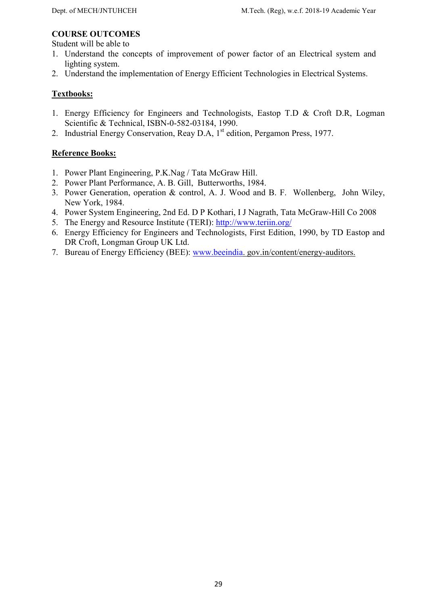#### COURSE OUTCOMES

Student will be able to

- 1. Understand the concepts of improvement of power factor of an Electrical system and lighting system.
- 2. Understand the implementation of Energy Efficient Technologies in Electrical Systems.

# Textbooks:

- 1. Energy Efficiency for Engineers and Technologists, Eastop T.D & Croft D.R, Logman Scientific & Technical, ISBN-0-582-03184, 1990.
- 2. Industrial Energy Conservation, Reay D.A, 1<sup>st</sup> edition, Pergamon Press, 1977.

- 1. Power Plant Engineering, P.K.Nag / Tata McGraw Hill.
- 2. Power Plant Performance, A. B. Gill, Butterworths, 1984.
- 3. Power Generation, operation & control, A. J. Wood and B. F. Wollenberg, John Wiley, New York, 1984.
- 4. Power System Engineering, 2nd Ed. D P Kothari, I J Nagrath, Tata McGraw-Hill Co 2008
- 5. The Energy and Resource Institute (TERI): http://www.teriin.org/
- 6. Energy Efficiency for Engineers and Technologists, First Edition, 1990, by TD Eastop and DR Croft, Longman Group UK Ltd.
- 7. Bureau of Energy Efficiency (BEE): www.beeindia. gov.in/content/energy-auditors.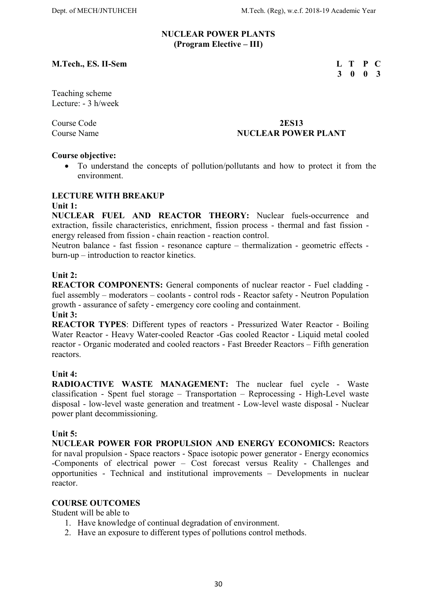#### NUCLEAR POWER PLANTS (Program Elective – III)

### M.Tech., ES. II-Sem L T P C

# 3 0 0 3

Teaching scheme Lecture: - 3 h/week

#### Course Code 2ES13 Course Name NUCLEAR POWER PLANT

#### Course objective:

 To understand the concepts of pollution/pollutants and how to protect it from the environment.

### LECTURE WITH BREAKUP

#### Unit 1:

NUCLEAR FUEL AND REACTOR THEORY: Nuclear fuels-occurrence and extraction, fissile characteristics, enrichment, fission process - thermal and fast fission energy released from fission - chain reaction - reaction control.

Neutron balance - fast fission - resonance capture – thermalization - geometric effects burn-up – introduction to reactor kinetics.

#### Unit 2:

REACTOR COMPONENTS: General components of nuclear reactor - Fuel cladding fuel assembly – moderators – coolants - control rods - Reactor safety - Neutron Population growth - assurance of safety - emergency core cooling and containment. Unit 3:

# REACTOR TYPES: Different types of reactors - Pressurized Water Reactor - Boiling

Water Reactor - Heavy Water-cooled Reactor -Gas cooled Reactor - Liquid metal cooled reactor - Organic moderated and cooled reactors - Fast Breeder Reactors – Fifth generation reactors.

# Unit 4:

RADIOACTIVE WASTE MANAGEMENT: The nuclear fuel cycle - Waste classification - Spent fuel storage – Transportation – Reprocessing - High-Level waste disposal - low-level waste generation and treatment - Low-level waste disposal - Nuclear power plant decommissioning.

#### Unit 5:

NUCLEAR POWER FOR PROPULSION AND ENERGY ECONOMICS: Reactors for naval propulsion - Space reactors - Space isotopic power generator - Energy economics -Components of electrical power – Cost forecast versus Reality - Challenges and opportunities - Technical and institutional improvements – Developments in nuclear reactor.

#### COURSE OUTCOMES

Student will be able to

- 1. Have knowledge of continual degradation of environment.
- 2. Have an exposure to different types of pollutions control methods.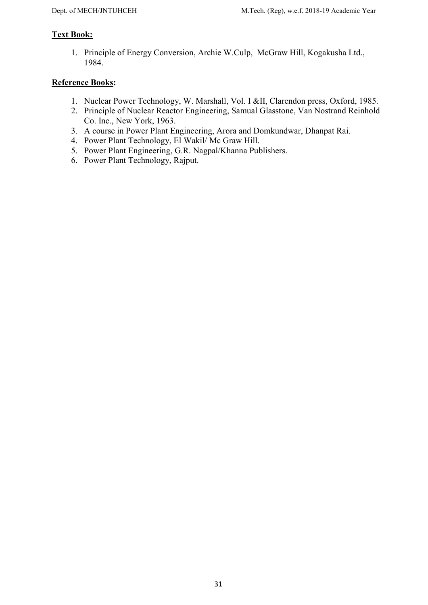# Text Book:

1. Principle of Energy Conversion, Archie W.Culp, McGraw Hill, Kogakusha Ltd., 1984.

- 1. Nuclear Power Technology, W. Marshall, Vol. I &II, Clarendon press, Oxford, 1985.
- 2. Principle of Nuclear Reactor Engineering, Samual Glasstone, Van Nostrand Reinhold Co. Inc., New York, 1963.
- 3. A course in Power Plant Engineering, Arora and Domkundwar, Dhanpat Rai.
- 4. Power Plant Technology, El Wakil/ Mc Graw Hill.
- 5. Power Plant Engineering, G.R. Nagpal/Khanna Publishers.
- 6. Power Plant Technology, Rajput.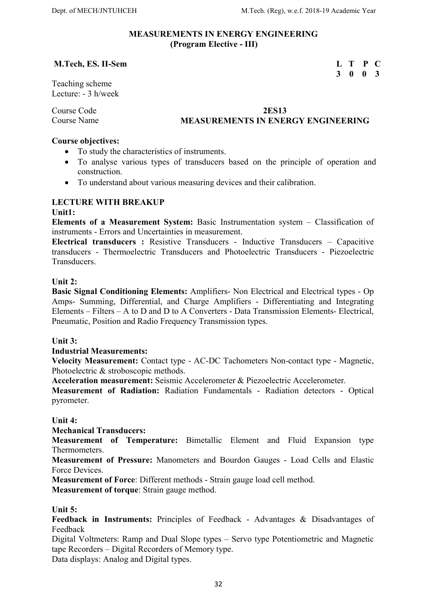3 0 0 3

#### MEASUREMENTS IN ENERGY ENGINEERING (Program Elective - III)

#### M.Tech, ES. II-Sem L T P C

Teaching scheme Lecture: - 3 h/week

#### Course Code 2ES13 Course Name MEASUREMENTS IN ENERGY ENGINEERING

#### Course objectives:

- To study the characteristics of instruments.
- To analyse various types of transducers based on the principle of operation and construction.
- To understand about various measuring devices and their calibration.

### LECTURE WITH BREAKUP

#### Unit1:

Elements of a Measurement System: Basic Instrumentation system – Classification of instruments - Errors and Uncertainties in measurement.

Electrical transducers : Resistive Transducers - Inductive Transducers – Capacitive transducers - Thermoelectric Transducers and Photoelectric Transducers - Piezoelectric Transducers.

#### Unit 2:

Basic Signal Conditioning Elements: Amplifiers- Non Electrical and Electrical types - Op Amps- Summing, Differential, and Charge Amplifiers - Differentiating and Integrating Elements – Filters – A to D and D to A Converters - Data Transmission Elements- Electrical, Pneumatic, Position and Radio Frequency Transmission types.

Unit 3:

Industrial Measurements:

Velocity Measurement: Contact type - AC-DC Tachometers Non-contact type - Magnetic, Photoelectric & stroboscopic methods.

Acceleration measurement: Seismic Accelerometer & Piezoelectric Accelerometer.

Measurement of Radiation: Radiation Fundamentals - Radiation detectors - Optical pyrometer.

#### Unit 4:

Mechanical Transducers:

Measurement of Temperature: Bimetallic Element and Fluid Expansion type Thermometers.

Measurement of Pressure: Manometers and Bourdon Gauges - Load Cells and Elastic Force Devices.

Measurement of Force: Different methods - Strain gauge load cell method.

Measurement of torque: Strain gauge method.

#### Unit 5:

Feedback in Instruments: Principles of Feedback - Advantages & Disadvantages of Feedback

Digital Voltmeters: Ramp and Dual Slope types – Servo type Potentiometric and Magnetic tape Recorders – Digital Recorders of Memory type.

Data displays: Analog and Digital types.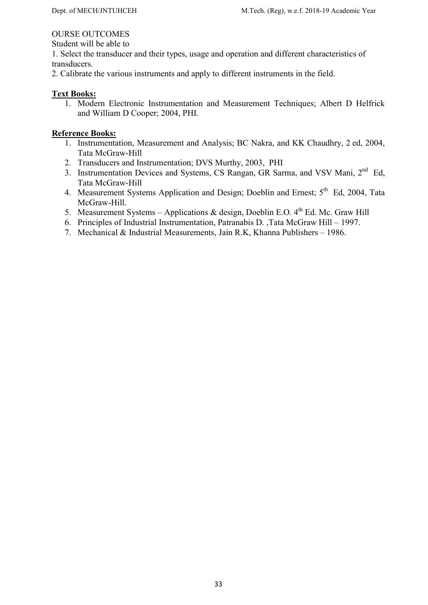#### OURSE OUTCOMES

Student will be able to

1. Select the transducer and their types, usage and operation and different characteristics of transducers.

2. Calibrate the various instruments and apply to different instruments in the field.

#### Text Books:

1. Modern Electronic Instrumentation and Measurement Techniques; Albert D Helfrick and William D Cooper; 2004, PHI.

- 1. Instrumentation, Measurement and Analysis; BC Nakra, and KK Chaudhry, 2 ed, 2004, Tata McGraw-Hill
- 2. Transducers and Instrumentation; DVS Murthy, 2003, PHI
- 3. Instrumentation Devices and Systems, CS Rangan, GR Sarma, and VSV Mani, 2<sup>nd</sup> Ed, Tata McGraw-Hill
- 4. Measurement Systems Application and Design; Doeblin and Ernest; 5<sup>th</sup> Ed, 2004, Tata McGraw-Hill.
- 5. Measurement Systems Applications & design, Doeblin E.O.  $4^{th}$  Ed. Mc. Graw Hill
- 6. Principles of Industrial Instrumentation, Patranabis D. ,Tata McGraw Hill 1997.
- 7. Mechanical & Industrial Measurements, Jain R.K, Khanna Publishers 1986.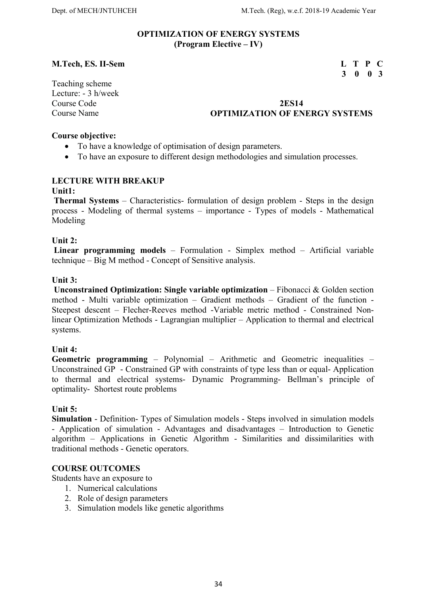#### OPTIMIZATION OF ENERGY SYSTEMS (Program Elective – IV)

### M.Tech, ES. II-Sem L T P C

# 3 0 0 3

Teaching scheme Lecture: - 3 h/week

### Course Code 2ES14 Course Name OPTIMIZATION OF ENERGY SYSTEMS

#### Course objective:

- To have a knowledge of optimisation of design parameters.
- To have an exposure to different design methodologies and simulation processes.

### LECTURE WITH BREAKUP

#### Unit1:

 Thermal Systems – Characteristics- formulation of design problem - Steps in the design process - Modeling of thermal systems – importance - Types of models - Mathematical Modeling

#### Unit 2:

 Linear programming models – Formulation - Simplex method – Artificial variable technique – Big M method - Concept of Sensitive analysis.

#### Unit 3:

 Unconstrained Optimization: Single variable optimization – Fibonacci & Golden section method - Multi variable optimization – Gradient methods – Gradient of the function - Steepest descent – Flecher-Reeves method -Variable metric method - Constrained Nonlinear Optimization Methods - Lagrangian multiplier – Application to thermal and electrical systems.

#### Unit 4:

Geometric programming – Polynomial – Arithmetic and Geometric inequalities – Unconstrained GP - Constrained GP with constraints of type less than or equal- Application to thermal and electrical systems- Dynamic Programming- Bellman's principle of optimality- Shortest route problems

#### Unit 5:

Simulation - Definition- Types of Simulation models - Steps involved in simulation models - Application of simulation - Advantages and disadvantages – Introduction to Genetic algorithm – Applications in Genetic Algorithm - Similarities and dissimilarities with traditional methods - Genetic operators.

# COURSE OUTCOMES

Students have an exposure to

- 1. Numerical calculations
- 2. Role of design parameters
- 3. Simulation models like genetic algorithms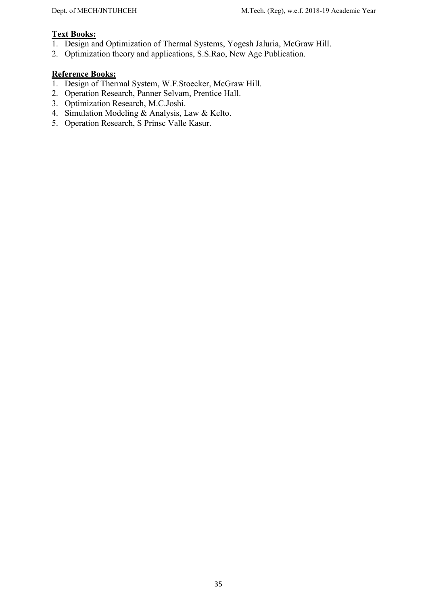# Text Books:

- 1. Design and Optimization of Thermal Systems, Yogesh Jaluria, McGraw Hill.
- 2. Optimization theory and applications, S.S.Rao, New Age Publication.

- 1. Design of Thermal System, W.F.Stoecker, McGraw Hill.
- 2. Operation Research, Panner Selvam, Prentice Hall.
- 3. Optimization Research, M.C.Joshi.
- 4. Simulation Modeling & Analysis, Law & Kelto.
- 5. Operation Research, S Prinsc Valle Kasur.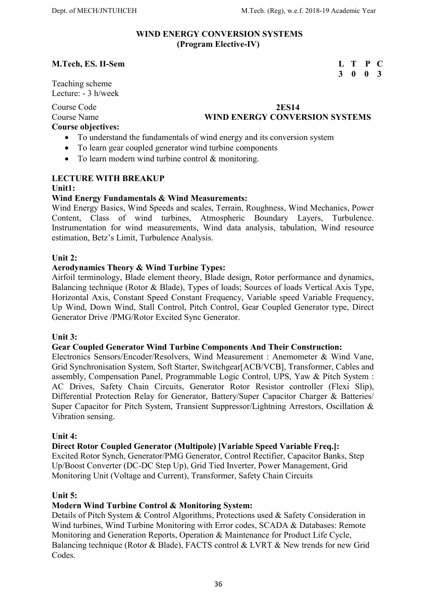#### WIND ENERGY CONVERSION SYSTEMS (Program Elective-IV)

3 0 0 3

#### M.Tech, ES. II-Sem L T P C

Teaching scheme Lecture: - 3 h/week

Course Code 2ES14

# Course Name WIND ENERGY CONVERSION SYSTEMS

Course objectives:

- To understand the fundamentals of wind energy and its conversion system
- To learn gear coupled generator wind turbine components
- To learn modern wind turbine control & monitoring.

# LECTURE WITH BREAKUP

#### Unit1:

### Wind Energy Fundamentals & Wind Measurements:

Wind Energy Basics, Wind Speeds and scales, Terrain, Roughness, Wind Mechanics, Power Content, Class of wind turbines, Atmospheric Boundary Layers, Turbulence. Instrumentation for wind measurements, Wind data analysis, tabulation, Wind resource estimation, Betz's Limit, Turbulence Analysis.

#### Unit 2:

#### Aerodynamics Theory & Wind Turbine Types:

Airfoil terminology, Blade element theory, Blade design, Rotor performance and dynamics, Balancing technique (Rotor & Blade), Types of loads; Sources of loads Vertical Axis Type, Horizontal Axis, Constant Speed Constant Frequency, Variable speed Variable Frequency, Up Wind, Down Wind, Stall Control, Pitch Control, Gear Coupled Generator type, Direct Generator Drive /PMG/Rotor Excited Sync Generator.

#### Unit 3:

#### Gear Coupled Generator Wind Turbine Components And Their Construction:

Electronics Sensors/Encoder/Resolvers, Wind Measurement : Anemometer & Wind Vane, Grid Synchronisation System, Soft Starter, Switchgear[ACB/VCB], Transformer, Cables and assembly, Compensation Panel, Programmable Logic Control, UPS, Yaw & Pitch System : AC Drives, Safety Chain Circuits, Generator Rotor Resistor controller (Flexi Slip), Differential Protection Relay for Generator, Battery/Super Capacitor Charger & Batteries/ Super Capacitor for Pitch System, Transient Suppressor/Lightning Arrestors, Oscillation & Vibration sensing.

#### Unit 4:

#### Direct Rotor Coupled Generator (Multipole) [Variable Speed Variable Freq.]:

Excited Rotor Synch, Generator/PMG Generator, Control Rectifier, Capacitor Banks, Step Up/Boost Converter (DC-DC Step Up), Grid Tied Inverter, Power Management, Grid Monitoring Unit (Voltage and Current), Transformer, Safety Chain Circuits

#### Unit 5:

#### Modern Wind Turbine Control & Monitoring System:

Details of Pitch System & Control Algorithms, Protections used & Safety Consideration in Wind turbines, Wind Turbine Monitoring with Error codes, SCADA & Databases: Remote Monitoring and Generation Reports, Operation & Maintenance for Product Life Cycle, Balancing technique (Rotor & Blade), FACTS control & LVRT & New trends for new Grid Codes.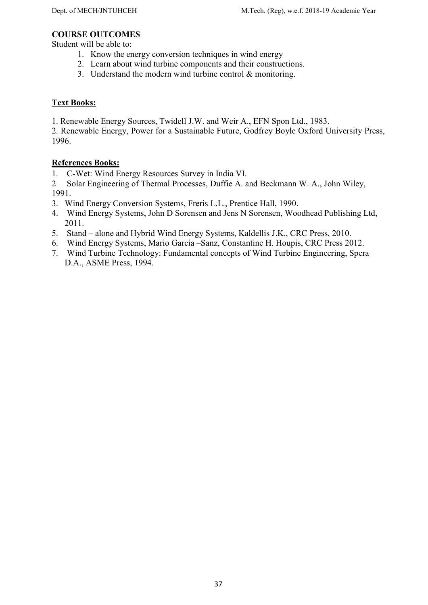#### COURSE OUTCOMES

Student will be able to:

- 1. Know the energy conversion techniques in wind energy
- 2. Learn about wind turbine components and their constructions.
- 3. Understand the modern wind turbine control & monitoring.

# Text Books:

1. Renewable Energy Sources, Twidell J.W. and Weir A., EFN Spon Ltd., 1983.

2. Renewable Energy, Power for a Sustainable Future, Godfrey Boyle Oxford University Press, 1996.

# References Books:

1. C-Wet: Wind Energy Resources Survey in India VI.

2 Solar Engineering of Thermal Processes, Duffie A. and Beckmann W. A., John Wiley, 1991.

- 3. Wind Energy Conversion Systems, Freris L.L., Prentice Hall, 1990.
- 4. Wind Energy Systems, John D Sorensen and Jens N Sorensen, Woodhead Publishing Ltd, 2011.
- 5. Stand alone and Hybrid Wind Energy Systems, Kaldellis J.K., CRC Press, 2010.
- 6. Wind Energy Systems, Mario Garcia –Sanz, Constantine H. Houpis, CRC Press 2012.
- 7. Wind Turbine Technology: Fundamental concepts of Wind Turbine Engineering, Spera D.A., ASME Press, 1994.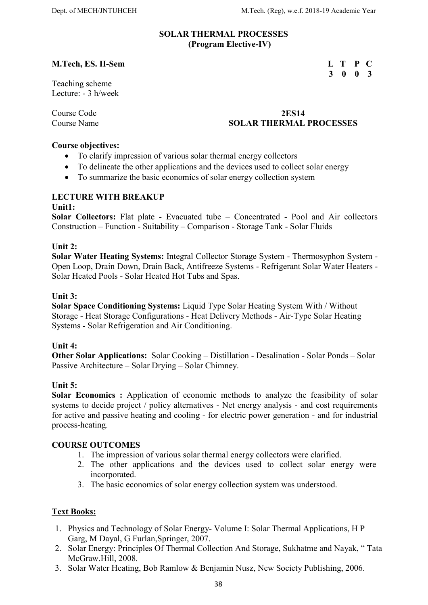3 0 0 3

#### SOLAR THERMAL PROCESSES (Program Elective-IV)

# M.Tech, ES. II-Sem L T P C

#### Teaching scheme Lecture: - 3 h/week

# Course Code 2ES14 Course Name SOLAR THERMAL PROCESSES

#### Course objectives:

- To clarify impression of various solar thermal energy collectors
- To delineate the other applications and the devices used to collect solar energy
- To summarize the basic economics of solar energy collection system

### LECTURE WITH BREAKUP

#### Unit1:

Solar Collectors: Flat plate - Evacuated tube – Concentrated - Pool and Air collectors Construction – Function - Suitability – Comparison - Storage Tank - Solar Fluids

#### Unit 2:

Solar Water Heating Systems: Integral Collector Storage System - Thermosyphon System - Open Loop, Drain Down, Drain Back, Antifreeze Systems - Refrigerant Solar Water Heaters - Solar Heated Pools - Solar Heated Hot Tubs and Spas.

#### Unit 3:

Solar Space Conditioning Systems: Liquid Type Solar Heating System With / Without Storage - Heat Storage Configurations - Heat Delivery Methods - Air-Type Solar Heating Systems - Solar Refrigeration and Air Conditioning.

#### Unit 4:

Other Solar Applications: Solar Cooking – Distillation - Desalination - Solar Ponds – Solar Passive Architecture – Solar Drying – Solar Chimney.

#### Unit 5:

Solar Economics : Application of economic methods to analyze the feasibility of solar systems to decide project / policy alternatives - Net energy analysis - and cost requirements for active and passive heating and cooling - for electric power generation - and for industrial process-heating.

#### COURSE OUTCOMES

- 1. The impression of various solar thermal energy collectors were clarified.
- 2. The other applications and the devices used to collect solar energy were incorporated.
- 3. The basic economics of solar energy collection system was understood.

#### Text Books:

- 1. Physics and Technology of Solar Energy- Volume I: Solar Thermal Applications, H P Garg, M Dayal, G Furlan,Springer, 2007.
- 2. Solar Energy: Principles Of Thermal Collection And Storage, Sukhatme and Nayak, " Tata McGraw.Hill, 2008.
- 3. Solar Water Heating, Bob Ramlow & Benjamin Nusz, New Society Publishing, 2006.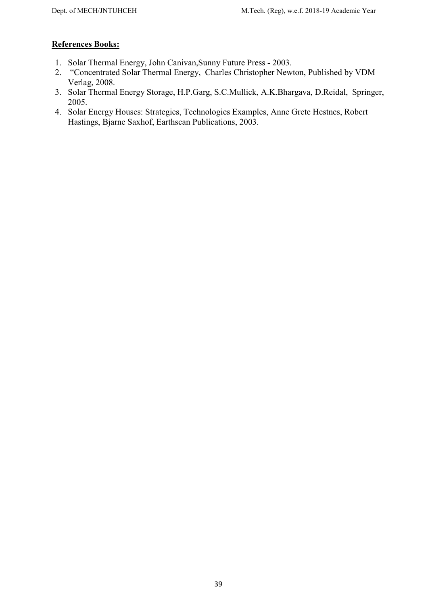- 1. Solar Thermal Energy, John Canivan,Sunny Future Press 2003.
- 2. "Concentrated Solar Thermal Energy, Charles Christopher Newton, Published by VDM Verlag, 2008.
- 3. Solar Thermal Energy Storage, H.P.Garg, S.C.Mullick, A.K.Bhargava, D.Reidal, Springer, 2005.
- 4. Solar Energy Houses: Strategies, Technologies Examples, Anne Grete Hestnes, Robert Hastings, Bjarne Saxhof, Earthscan Publications, 2003.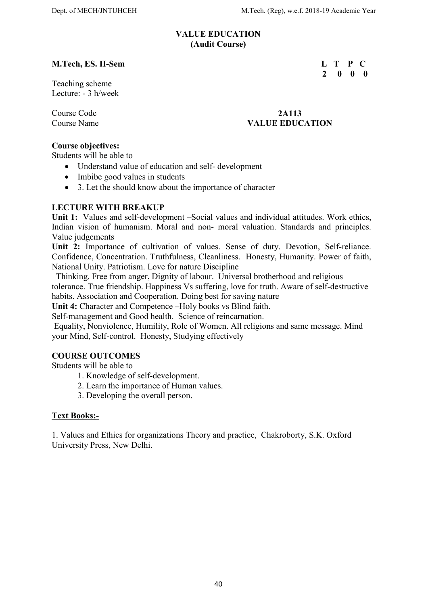2 0 0 0

#### VALUE EDUCATION (Audit Course)

# M.Tech, ES. II-Sem L T P C

Teaching scheme Lecture: - 3 h/week

#### Course Code 2A113 Course Name VALUE EDUCATION

### Course objectives:

Students will be able to

- Understand value of education and self- development
- Imbibe good values in students
- 3. Let the should know about the importance of character

# LECTURE WITH BREAKUP

Unit 1: Values and self-development –Social values and individual attitudes. Work ethics, Indian vision of humanism. Moral and non- moral valuation. Standards and principles. Value judgements

Unit 2: Importance of cultivation of values. Sense of duty. Devotion, Self-reliance. Confidence, Concentration. Truthfulness, Cleanliness. Honesty, Humanity. Power of faith, National Unity. Patriotism. Love for nature Discipline

 Thinking. Free from anger, Dignity of labour. Universal brotherhood and religious tolerance. True friendship. Happiness Vs suffering, love for truth. Aware of self-destructive habits. Association and Cooperation. Doing best for saving nature

Unit 4: Character and Competence –Holy books vs Blind faith.

Self-management and Good health. Science of reincarnation.

 Equality, Nonviolence, Humility, Role of Women. All religions and same message. Mind your Mind, Self-control. Honesty, Studying effectively

# COURSE OUTCOMES

Students will be able to

- 1. Knowledge of self-development.
- 2. Learn the importance of Human values.
- 3. Developing the overall person.

#### Text Books:-

1. Values and Ethics for organizations Theory and practice, Chakroborty, S.K. Oxford University Press, New Delhi.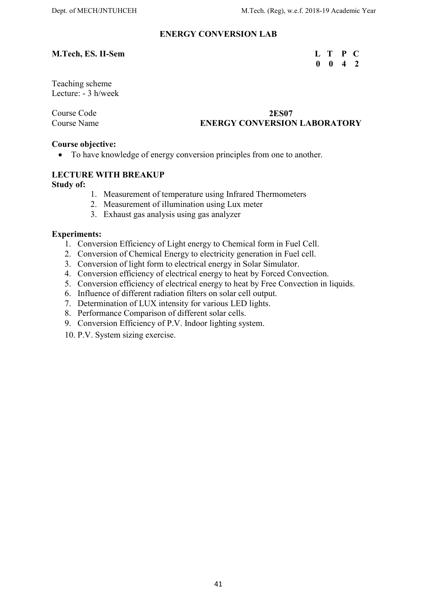# ENERGY CONVERSION LAB

#### M.Tech, ES. II-Sem L T P C

# $0 \t 0 \t 4 \t 2$

Teaching scheme Lecture: - 3 h/week

#### Course Code 2ES07 Course Name ENERGY CONVERSION LABORATORY

#### Course objective:

To have knowledge of energy conversion principles from one to another.

### LECTURE WITH BREAKUP

Study of:

- 1. Measurement of temperature using Infrared Thermometers
- 2. Measurement of illumination using Lux meter
- 3. Exhaust gas analysis using gas analyzer

#### Experiments:

- 1. Conversion Efficiency of Light energy to Chemical form in Fuel Cell.
- 2. Conversion of Chemical Energy to electricity generation in Fuel cell.
- 3. Conversion of light form to electrical energy in Solar Simulator.
- 4. Conversion efficiency of electrical energy to heat by Forced Convection.
- 5. Conversion efficiency of electrical energy to heat by Free Convection in liquids.
- 6. Influence of different radiation filters on solar cell output.
- 7. Determination of LUX intensity for various LED lights.
- 8. Performance Comparison of different solar cells.
- 9. Conversion Efficiency of P.V. Indoor lighting system.
- 10. P.V. System sizing exercise.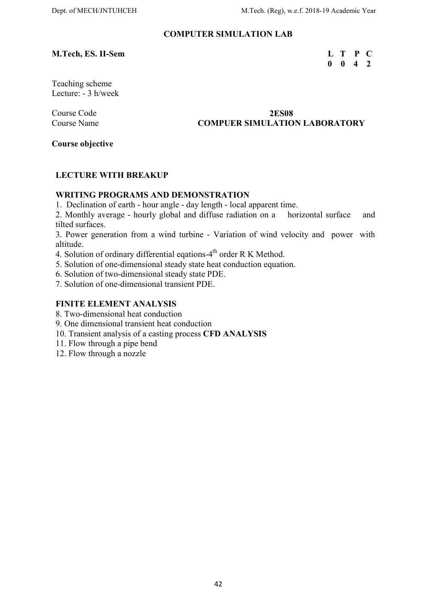#### COMPUTER SIMULATION LAB

# M.Tech, ES. II-Sem L T P C

0 0 4 2

Teaching scheme Lecture: - 3 h/week

### Course Code 2ES08 Course Name COMPUER SIMULATION LABORATORY

Course objective

#### LECTURE WITH BREAKUP

#### WRITING PROGRAMS AND DEMONSTRATION

1. Declination of earth - hour angle - day length - local apparent time.

2. Monthly average - hourly global and diffuse radiation on a horizontal surface and tilted surfaces.

3. Power generation from a wind turbine - Variation of wind velocity and power with altitude.

4. Solution of ordinary differential eqations- $4<sup>th</sup>$  order R K Method.

5. Solution of one-dimensional steady state heat conduction equation.

6. Solution of two-dimensional steady state PDE.

7. Solution of one-dimensional transient PDE.

# FINITE ELEMENT ANALYSIS

8. Two-dimensional heat conduction

9. One dimensional transient heat conduction

10. Transient analysis of a casting process CFD ANALYSIS

11. Flow through a pipe bend

12. Flow through a nozzle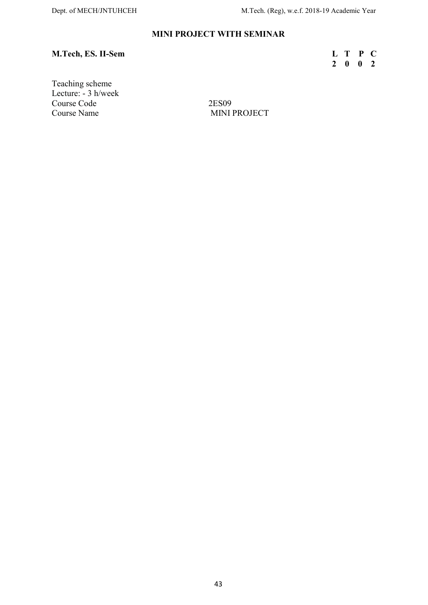# MINI PROJECT WITH SEMINAR

# M.Tech, ES. II-Sem

| <b>M.Tech, ES. II-Sem</b> | L T P C |  |  |
|---------------------------|---------|--|--|
|                           | 2 0 0 2 |  |  |

Teaching scheme Lecture: - 3 h/week Course Code 2ES09 Course Name MINI PROJECT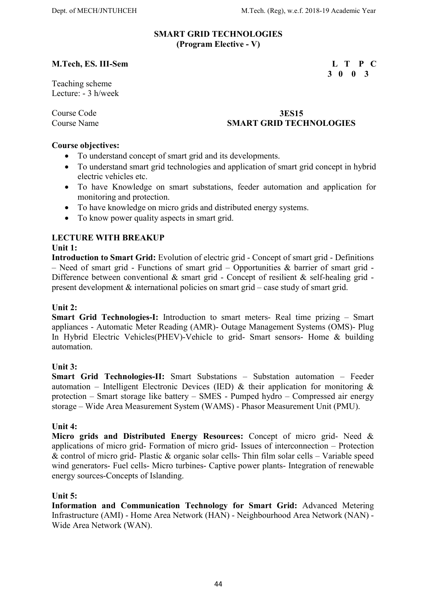3 0 0 3

#### SMART GRID TECHNOLOGIES (Program Elective - V)

#### M.Tech, ES. III-Sem L T P C

Teaching scheme Lecture: - 3 h/week

#### Course Code 3ES15 Course Name SMART GRID TECHNOLOGIES

#### Course objectives:

- To understand concept of smart grid and its developments.
- To understand smart grid technologies and application of smart grid concept in hybrid electric vehicles etc.
- To have Knowledge on smart substations, feeder automation and application for monitoring and protection.
- To have knowledge on micro grids and distributed energy systems.
- To know power quality aspects in smart grid.

# LECTURE WITH BREAKUP

### Unit 1:

Introduction to Smart Grid: Evolution of electric grid - Concept of smart grid - Definitions – Need of smart grid - Functions of smart grid – Opportunities & barrier of smart grid - Difference between conventional & smart grid - Concept of resilient & self-healing grid present development & international policies on smart grid – case study of smart grid.

# Unit 2:

Smart Grid Technologies-I: Introduction to smart meters- Real time prizing – Smart appliances - Automatic Meter Reading (AMR)- Outage Management Systems (OMS)- Plug In Hybrid Electric Vehicles(PHEV)-Vehicle to grid- Smart sensors- Home & building automation.

# Unit 3:

Smart Grid Technologies-II: Smart Substations – Substation automation – Feeder automation – Intelligent Electronic Devices (IED) & their application for monitoring  $\&$ protection – Smart storage like battery – SMES - Pumped hydro – Compressed air energy storage – Wide Area Measurement System (WAMS) - Phasor Measurement Unit (PMU).

# Unit 4:

Micro grids and Distributed Energy Resources: Concept of micro grid- Need & applications of micro grid- Formation of micro grid- Issues of interconnection – Protection & control of micro grid- Plastic & organic solar cells- Thin film solar cells – Variable speed wind generators- Fuel cells- Micro turbines- Captive power plants- Integration of renewable energy sources-Concepts of Islanding.

#### Unit 5:

Information and Communication Technology for Smart Grid: Advanced Metering Infrastructure (AMI) - Home Area Network (HAN) - Neighbourhood Area Network (NAN) - Wide Area Network (WAN).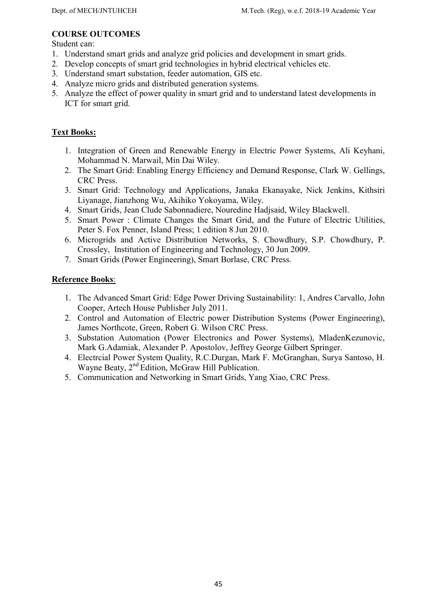# COURSE OUTCOMES

Student can:

- 1. Understand smart grids and analyze grid policies and development in smart grids.
- 2. Develop concepts of smart grid technologies in hybrid electrical vehicles etc.
- 3. Understand smart substation, feeder automation, GIS etc.
- 4. Analyze micro grids and distributed generation systems.
- 5. Analyze the effect of power quality in smart grid and to understand latest developments in ICT for smart grid.

# Text Books:

- 1. Integration of Green and Renewable Energy in Electric Power Systems, Ali Keyhani, Mohammad N. Marwail, Min Dai Wiley.
- 2. The Smart Grid: Enabling Energy Efficiency and Demand Response, Clark W. Gellings, CRC Press.
- 3. Smart Grid: Technology and Applications, Janaka Ekanayake, Nick Jenkins, Kithsiri Liyanage, Jianzhong Wu, Akihiko Yokoyama, Wiley.
- 4. Smart Grids, Jean Clude Sabonnadiere, Nouredine Hadjsaid, Wiley Blackwell.
- 5. Smart Power : Climate Changes the Smart Grid, and the Future of Electric Utilities, Peter S. Fox Penner, Island Press; 1 edition 8 Jun 2010.
- 6. Microgrids and Active Distribution Networks, S. Chowdhury, S.P. Chowdhury, P. Crossley, Institution of Engineering and Technology, 30 Jun 2009.
- 7. Smart Grids (Power Engineering), Smart Borlase, CRC Press.

- 1. The Advanced Smart Grid: Edge Power Driving Sustainability: 1, Andres Carvallo, John Cooper, Artech House Publisher July 2011.
- 2. Control and Automation of Electric power Distribution Systems (Power Engineering), James Northcote, Green, Robert G. Wilson CRC Press.
- 3. Substation Automation (Power Electronics and Power Systems), MladenKezunovic, Mark G.Adamiak, Alexander P. Apostolov, Jeffrey George Gilbert Springer.
- 4. Electrcial Power System Quality, R.C.Durgan, Mark F. McGranghan, Surya Santoso, H. Wayne Beaty, 2<sup>nd</sup> Edition, McGraw Hill Publication.
- 5. Communication and Networking in Smart Grids, Yang Xiao, CRC Press.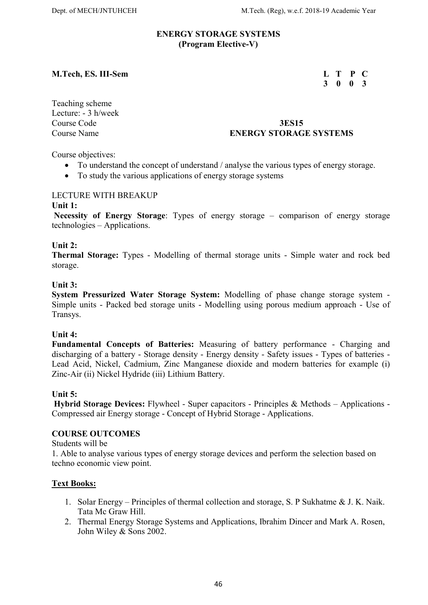#### ENERGY STORAGE SYSTEMS (Program Elective-V)

#### M.Tech, ES. III-Sem L T P C

# 3 0 0 3

Teaching scheme Lecture: - 3 h/week

# Course Code 3ES15<br>
Course Name **3ES15**<br>
ENERGY STORAG **ENERGY STORAGE SYSTEMS**

Course objectives:

- To understand the concept of understand / analyse the various types of energy storage.
- To study the various applications of energy storage systems

#### LECTURE WITH BREAKUP

#### Unit 1:

Necessity of Energy Storage: Types of energy storage – comparison of energy storage technologies – Applications.

#### Unit 2:

Thermal Storage: Types - Modelling of thermal storage units - Simple water and rock bed storage.

#### Unit 3:

System Pressurized Water Storage System: Modelling of phase change storage system - Simple units - Packed bed storage units - Modelling using porous medium approach - Use of Transys.

#### Unit 4:

Fundamental Concepts of Batteries: Measuring of battery performance - Charging and discharging of a battery - Storage density - Energy density - Safety issues - Types of batteries - Lead Acid, Nickel, Cadmium, Zinc Manganese dioxide and modern batteries for example (i) Zinc-Air (ii) Nickel Hydride (iii) Lithium Battery.

#### Unit 5:

 Hybrid Storage Devices: Flywheel - Super capacitors - Principles & Methods – Applications - Compressed air Energy storage - Concept of Hybrid Storage - Applications.

#### COURSE OUTCOMES

Students will be

1. Able to analyse various types of energy storage devices and perform the selection based on techno economic view point.

#### Text Books:

- 1. Solar Energy Principles of thermal collection and storage, S. P Sukhatme & J. K. Naik. Tata Mc Graw Hill.
- 2. Thermal Energy Storage Systems and Applications, Ibrahim Dincer and Mark A. Rosen, John Wiley & Sons 2002.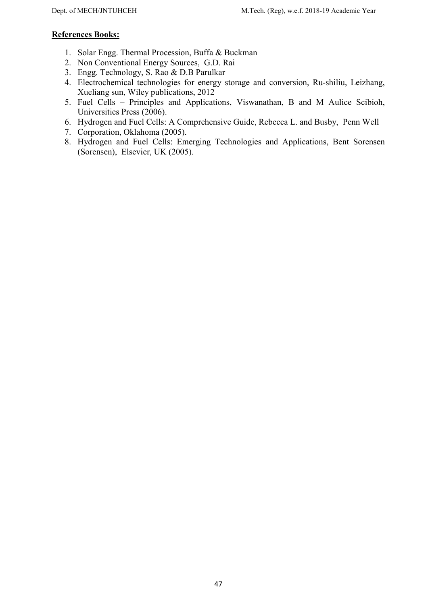- 1. Solar Engg. Thermal Procession, Buffa & Buckman
- 2. Non Conventional Energy Sources, G.D. Rai
- 3. Engg. Technology, S. Rao & D.B Parulkar
- 4. Electrochemical technologies for energy storage and conversion, Ru-shiliu, Leizhang, Xueliang sun, Wiley publications, 2012
- 5. Fuel Cells Principles and Applications, Viswanathan, B and M Aulice Scibioh, Universities Press (2006).
- 6. Hydrogen and Fuel Cells: A Comprehensive Guide, Rebecca L. and Busby, Penn Well
- 7. Corporation, Oklahoma (2005).
- 8. Hydrogen and Fuel Cells: Emerging Technologies and Applications, Bent Sorensen (Sorensen), Elsevier, UK (2005).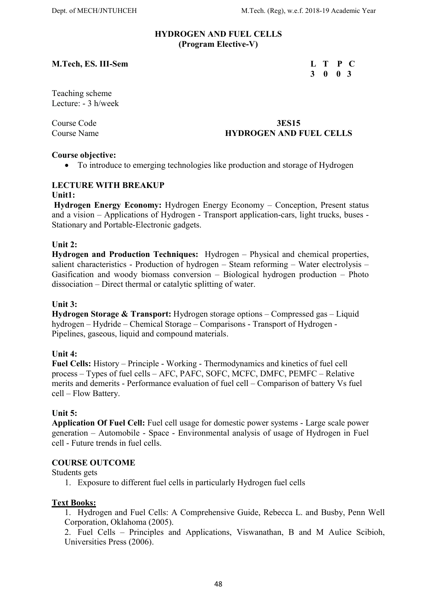#### HYDROGEN AND FUEL CELLS (Program Elective-V)

#### M.Tech, ES. III-Sem

| M.Tech, ES. III-Sem | L T P C |  |  |
|---------------------|---------|--|--|
|                     | 3 0 0 3 |  |  |

Teaching scheme Lecture: - 3 h/week

# Course Code 3ES15 Course Name **HYDROGEN AND FUEL CELLS**

### Course objective:

To introduce to emerging technologies like production and storage of Hydrogen

#### LECTURE WITH BREAKUP Unit1:

 Hydrogen Energy Economy: Hydrogen Energy Economy – Conception, Present status and a vision – Applications of Hydrogen - Transport application-cars, light trucks, buses - Stationary and Portable-Electronic gadgets.

### Unit 2:

Hydrogen and Production Techniques: Hydrogen – Physical and chemical properties, salient characteristics - Production of hydrogen – Steam reforming – Water electrolysis – Gasification and woody biomass conversion – Biological hydrogen production – Photo dissociation – Direct thermal or catalytic splitting of water.

#### Unit 3:

Hydrogen Storage & Transport: Hydrogen storage options – Compressed gas – Liquid hydrogen – Hydride – Chemical Storage – Comparisons - Transport of Hydrogen - Pipelines, gaseous, liquid and compound materials.

#### Unit 4:

Fuel Cells: History – Principle - Working - Thermodynamics and kinetics of fuel cell process – Types of fuel cells – AFC, PAFC, SOFC, MCFC, DMFC, PEMFC – Relative merits and demerits - Performance evaluation of fuel cell – Comparison of battery Vs fuel cell – Flow Battery.

#### Unit 5:

Application Of Fuel Cell: Fuel cell usage for domestic power systems - Large scale power generation – Automobile - Space - Environmental analysis of usage of Hydrogen in Fuel cell - Future trends in fuel cells.

#### COURSE OUTCOME

#### Students gets

1. Exposure to different fuel cells in particularly Hydrogen fuel cells

#### Text Books:

1. Hydrogen and Fuel Cells: A Comprehensive Guide, Rebecca L. and Busby, Penn Well Corporation, Oklahoma (2005).

2. Fuel Cells – Principles and Applications, Viswanathan, B and M Aulice Scibioh, Universities Press (2006).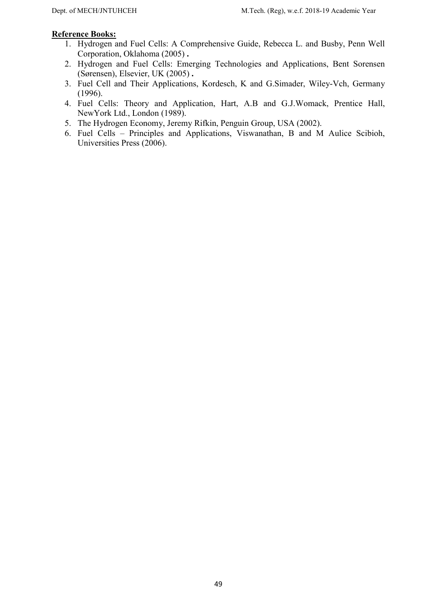- 1. Hydrogen and Fuel Cells: A Comprehensive Guide, Rebecca L. and Busby, Penn Well Corporation, Oklahoma (2005) .
- 2. Hydrogen and Fuel Cells: Emerging Technologies and Applications, Bent Sorensen (Sørensen), Elsevier, UK (2005) .
- 3. Fuel Cell and Their Applications, Kordesch, K and G.Simader, Wiley-Vch, Germany (1996).
- 4. Fuel Cells: Theory and Application, Hart, A.B and G.J.Womack, Prentice Hall, NewYork Ltd., London (1989).
- 5. The Hydrogen Economy, Jeremy Rifkin, Penguin Group, USA (2002).
- 6. Fuel Cells Principles and Applications, Viswanathan, B and M Aulice Scibioh, Universities Press (2006).